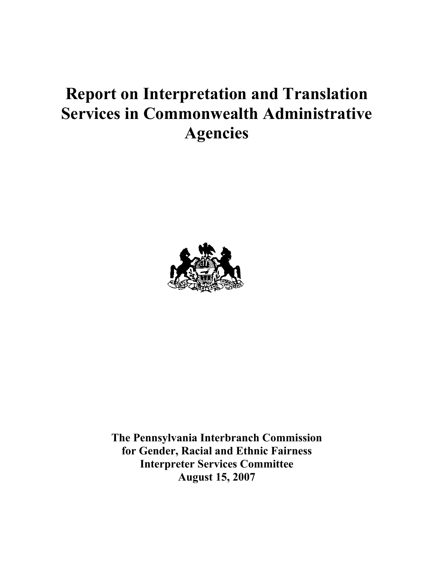# **Report on Interpretation and Translation Services in Commonwealth Administrative Agencies**



**The Pennsylvania Interbranch Commission for Gender, Racial and Ethnic Fairness Interpreter Services Committee August 15, 2007**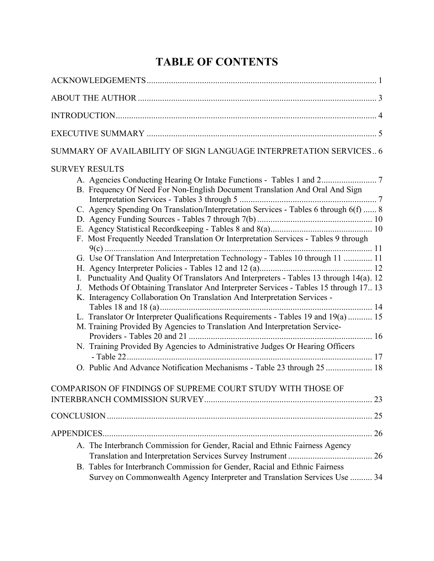# **TABLE OF CONTENTS**

| SUMMARY OF AVAILABILITY OF SIGN LANGUAGE INTERPRETATION SERVICES 6                                                                                                                                                                                                                                                                                                                                                                                                                                                                                                                                                                                                                                                                                                                                                                                                                                                                                                       |
|--------------------------------------------------------------------------------------------------------------------------------------------------------------------------------------------------------------------------------------------------------------------------------------------------------------------------------------------------------------------------------------------------------------------------------------------------------------------------------------------------------------------------------------------------------------------------------------------------------------------------------------------------------------------------------------------------------------------------------------------------------------------------------------------------------------------------------------------------------------------------------------------------------------------------------------------------------------------------|
| <b>SURVEY RESULTS</b><br>B. Frequency Of Need For Non-English Document Translation And Oral And Sign<br>C. Agency Spending On Translation/Interpretation Services - Tables 6 through 6(f)  8<br>F. Most Frequently Needed Translation Or Interpretation Services - Tables 9 through<br>G. Use Of Translation And Interpretation Technology - Tables 10 through 11  11<br>I. Punctuality And Quality Of Translators And Interpreters - Tables 13 through 14(a). 12<br>J. Methods Of Obtaining Translator And Interpreter Services - Tables 15 through 17 13<br>K. Interagency Collaboration On Translation And Interpretation Services -<br>L. Translator Or Interpreter Qualifications Requirements - Tables 19 and 19(a)  15<br>M. Training Provided By Agencies to Translation And Interpretation Service-<br>N. Training Provided By Agencies to Administrative Judges Or Hearing Officers<br>O. Public And Advance Notification Mechanisms - Table 23 through 25  18 |
| COMPARISON OF FINDINGS OF SUPREME COURT STUDY WITH THOSE OF                                                                                                                                                                                                                                                                                                                                                                                                                                                                                                                                                                                                                                                                                                                                                                                                                                                                                                              |
|                                                                                                                                                                                                                                                                                                                                                                                                                                                                                                                                                                                                                                                                                                                                                                                                                                                                                                                                                                          |
|                                                                                                                                                                                                                                                                                                                                                                                                                                                                                                                                                                                                                                                                                                                                                                                                                                                                                                                                                                          |
| A. The Interbranch Commission for Gender, Racial and Ethnic Fairness Agency<br>B. Tables for Interbranch Commission for Gender, Racial and Ethnic Fairness<br>Survey on Commonwealth Agency Interpreter and Translation Services Use  34                                                                                                                                                                                                                                                                                                                                                                                                                                                                                                                                                                                                                                                                                                                                 |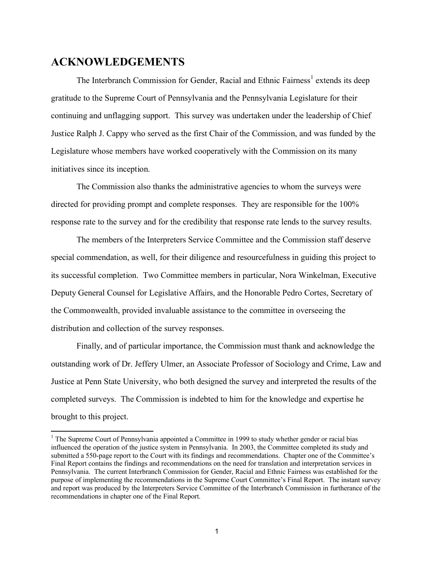# **ACKNOWLEDGEMENTS**

The Interbranch Commission for Gender, Racial and Ethnic Fairness<sup>1</sup> extends its deep gratitude to the Supreme Court of Pennsylvania and the Pennsylvania Legislature for their continuing and unflagging support. This survey was undertaken under the leadership of Chief Justice Ralph J. Cappy who served as the first Chair of the Commission, and was funded by the Legislature whose members have worked cooperatively with the Commission on its many initiatives since its inception.

The Commission also thanks the administrative agencies to whom the surveys were directed for providing prompt and complete responses. They are responsible for the 100% response rate to the survey and for the credibility that response rate lends to the survey results.

The members of the Interpreters Service Committee and the Commission staff deserve special commendation, as well, for their diligence and resourcefulness in guiding this project to its successful completion. Two Committee members in particular, Nora Winkelman, Executive Deputy General Counsel for Legislative Affairs, and the Honorable Pedro Cortes, Secretary of the Commonwealth, provided invaluable assistance to the committee in overseeing the distribution and collection of the survey responses.

Finally, and of particular importance, the Commission must thank and acknowledge the outstanding work of Dr. Jeffery Ulmer, an Associate Professor of Sociology and Crime, Law and Justice at Penn State University, who both designed the survey and interpreted the results of the completed surveys. The Commission is indebted to him for the knowledge and expertise he brought to this project.

<sup>&</sup>lt;sup>1</sup> The Supreme Court of Pennsylvania appointed a Committee in 1999 to study whether gender or racial bias influenced the operation of the justice system in Pennsylvania. In 2003, the Committee completed its study and submitted a 550-page report to the Court with its findings and recommendations. Chapter one of the Committee's Final Report contains the findings and recommendations on the need for translation and interpretation services in Pennsylvania. The current Interbranch Commission for Gender, Racial and Ethnic Fairness was established for the purpose of implementing the recommendations in the Supreme Court Committee's Final Report. The instant survey and report was produced by the Interpreters Service Committee of the Interbranch Commission in furtherance of the recommendations in chapter one of the Final Report.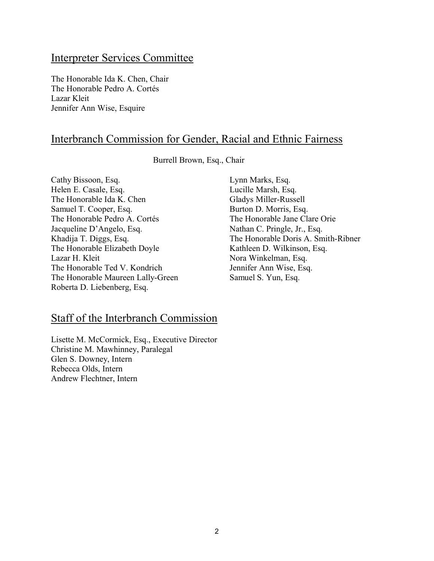# Interpreter Services Committee

The Honorable Ida K. Chen, Chair The Honorable Pedro A. Cortés Lazar Kleit Jennifer Ann Wise, Esquire

# Interbranch Commission for Gender, Racial and Ethnic Fairness

Burrell Brown, Esq., Chair

Cathy Bissoon, Esq. Helen E. Casale, Esq. The Honorable Ida K. Chen Samuel T. Cooper, Esq. The Honorable Pedro A. Cortés Jacqueline D'Angelo, Esq. Khadija T. Diggs, Esq. The Honorable Elizabeth Doyle Lazar H. Kleit The Honorable Ted V. Kondrich The Honorable Maureen Lally-Green Roberta D. Liebenberg, Esq.

# Staff of the Interbranch Commission

Lisette M. McCormick, Esq., Executive Director Christine M. Mawhinney, Paralegal Glen S. Downey, Intern Rebecca Olds, Intern Andrew Flechtner, Intern

Lynn Marks, Esq. Lucille Marsh, Esq. Gladys Miller-Russell Burton D. Morris, Esq. The Honorable Jane Clare Orie Nathan C. Pringle, Jr., Esq. The Honorable Doris A. Smith-Ribner Kathleen D. Wilkinson, Esq. Nora Winkelman, Esq. Jennifer Ann Wise, Esq. Samuel S. Yun, Esq.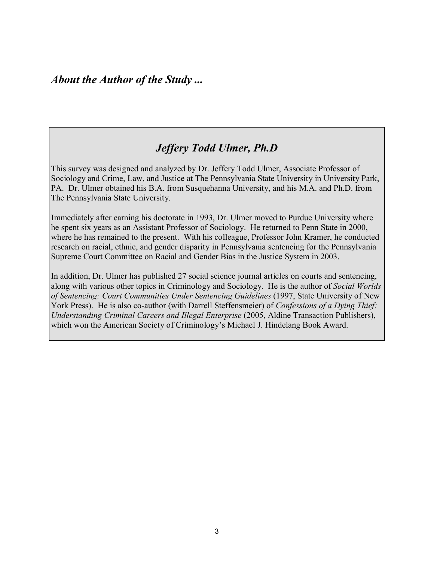# *Jeffery Todd Ulmer, Ph.D*

This survey was designed and analyzed by Dr. Jeffery Todd Ulmer, Associate Professor of Sociology and Crime, Law, and Justice at The Pennsylvania State University in University Park, PA. Dr. Ulmer obtained his B.A. from Susquehanna University, and his M.A. and Ph.D. from The Pennsylvania State University.

Immediately after earning his doctorate in 1993, Dr. Ulmer moved to Purdue University where he spent six years as an Assistant Professor of Sociology. He returned to Penn State in 2000, where he has remained to the present. With his colleague, Professor John Kramer, he conducted research on racial, ethnic, and gender disparity in Pennsylvania sentencing for the Pennsylvania Supreme Court Committee on Racial and Gender Bias in the Justice System in 2003.

In addition, Dr. Ulmer has published 27 social science journal articles on courts and sentencing, along with various other topics in Criminology and Sociology. He is the author of *Social Worlds of Sentencing: Court Communities Under Sentencing Guidelines* (1997, State University of New York Press). He is also co-author (with Darrell Steffensmeier) of *Confessions of a Dying Thief: Understanding Criminal Careers and Illegal Enterprise* (2005, Aldine Transaction Publishers), which won the American Society of Criminology's Michael J. Hindelang Book Award.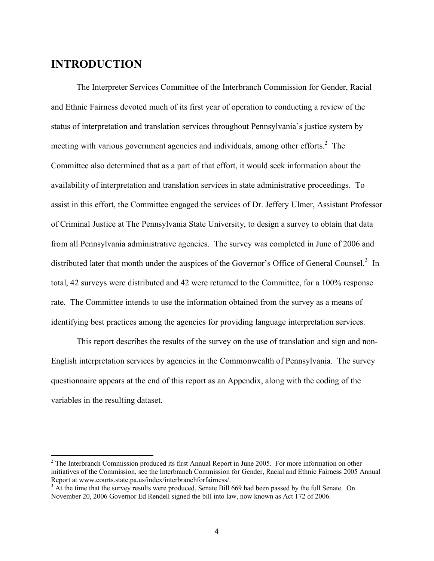# **INTRODUCTION**

The Interpreter Services Committee of the Interbranch Commission for Gender, Racial and Ethnic Fairness devoted much of its first year of operation to conducting a review of the status of interpretation and translation services throughout Pennsylvania's justice system by meeting with various government agencies and individuals, among other efforts. $2$  The Committee also determined that as a part of that effort, it would seek information about the availability of interpretation and translation services in state administrative proceedings. To assist in this effort, the Committee engaged the services of Dr. Jeffery Ulmer, Assistant Professor of Criminal Justice at The Pennsylvania State University, to design a survey to obtain that data from all Pennsylvania administrative agencies. The survey was completed in June of 2006 and distributed later that month under the auspices of the Governor's Office of General Counsel.<sup>3</sup> In total, 42 surveys were distributed and 42 were returned to the Committee, for a 100% response rate. The Committee intends to use the information obtained from the survey as a means of identifying best practices among the agencies for providing language interpretation services.

This report describes the results of the survey on the use of translation and sign and non-English interpretation services by agencies in the Commonwealth of Pennsylvania. The survey questionnaire appears at the end of this report as an Appendix, along with the coding of the variables in the resulting dataset.

<sup>&</sup>lt;sup>2</sup> The Interbranch Commission produced its first Annual Report in June 2005. For more information on other initiatives of the Commission, see the Interbranch Commission for Gender, Racial and Ethnic Fairness 2005 Annual Report at www.courts.state.pa.us/index/interbranchforfairness/.

<sup>&</sup>lt;sup>3</sup> At the time that the survey results were produced, Senate Bill 669 had been passed by the full Senate. On November 20, 2006 Governor Ed Rendell signed the bill into law, now known as Act 172 of 2006.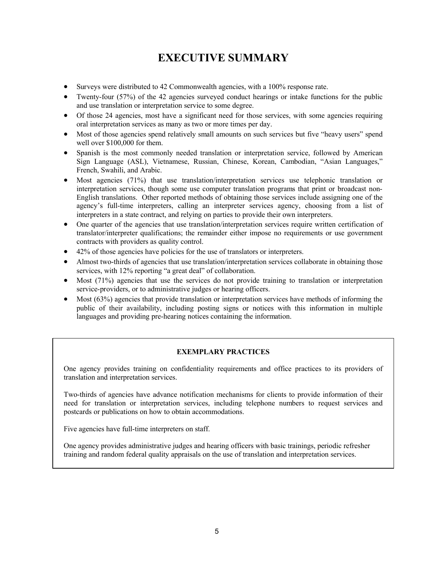# **EXECUTIVE SUMMARY**

- · Surveys were distributed to 42 Commonwealth agencies, with a 100% response rate.
- Twenty-four (57%) of the 42 agencies surveyed conduct hearings or intake functions for the public and use translation or interpretation service to some degree.
- Of those 24 agencies, most have a significant need for those services, with some agencies requiring oral interpretation services as many as two or more times per day.
- Most of those agencies spend relatively small amounts on such services but five "heavy users" spend well over \$100,000 for them.
- Spanish is the most commonly needed translation or interpretation service, followed by American Sign Language (ASL), Vietnamese, Russian, Chinese, Korean, Cambodian, "Asian Languages," French, Swahili, and Arabic.
- Most agencies (71%) that use translation/interpretation services use telephonic translation or interpretation services, though some use computer translation programs that print or broadcast non-English translations. Other reported methods of obtaining those services include assigning one of the agency's full-time interpreters, calling an interpreter services agency, choosing from a list of interpreters in a state contract, and relying on parties to provide their own interpreters.
- One quarter of the agencies that use translation/interpretation services require written certification of translator/interpreter qualifications; the remainder either impose no requirements or use government contracts with providers as quality control.
- · 42% of those agencies have policies for the use of translators or interpreters.
- Almost two-thirds of agencies that use translation/interpretation services collaborate in obtaining those services, with 12% reporting "a great deal" of collaboration.
- Most (71%) agencies that use the services do not provide training to translation or interpretation service-providers, or to administrative judges or hearing officers.
- Most (63%) agencies that provide translation or interpretation services have methods of informing the public of their availability, including posting signs or notices with this information in multiple languages and providing pre-hearing notices containing the information.

#### **EXEMPLARY PRACTICES**

One agency provides training on confidentiality requirements and office practices to its providers of translation and interpretation services.

Two-thirds of agencies have advance notification mechanisms for clients to provide information of their need for translation or interpretation services, including telephone numbers to request services and postcards or publications on how to obtain accommodations.

Five agencies have full-time interpreters on staff.

One agency provides administrative judges and hearing officers with basic trainings, periodic refresher training and random federal quality appraisals on the use of translation and interpretation services.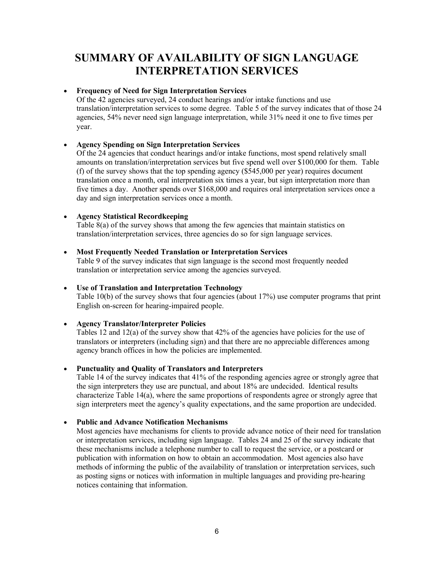# **SUMMARY OF AVAILABILITY OF SIGN LANGUAGE INTERPRETATION SERVICES**

#### · **Frequency of Need for Sign Interpretation Services**

Of the 42 agencies surveyed, 24 conduct hearings and/or intake functions and use translation/interpretation services to some degree. Table 5 of the survey indicates that of those 24 agencies, 54% never need sign language interpretation, while 31% need it one to five times per year.

#### · **Agency Spending on Sign Interpretation Services**

Of the 24 agencies that conduct hearings and/or intake functions, most spend relatively small amounts on translation/interpretation services but five spend well over \$100,000 for them. Table (f) of the survey shows that the top spending agency (\$545,000 per year) requires document translation once a month, oral interpretation six times a year, but sign interpretation more than five times a day. Another spends over \$168,000 and requires oral interpretation services once a day and sign interpretation services once a month.

#### · **Agency Statistical Recordkeeping**

Table 8(a) of the survey shows that among the few agencies that maintain statistics on translation/interpretation services, three agencies do so for sign language services.

#### · **Most Frequently Needed Translation or Interpretation Services**

Table 9 of the survey indicates that sign language is the second most frequently needed translation or interpretation service among the agencies surveyed.

#### · **Use of Translation and Interpretation Technology**

Table 10(b) of the survey shows that four agencies (about 17%) use computer programs that print English on-screen for hearing-impaired people.

#### · **Agency Translator/Interpreter Policies**

Tables 12 and 12(a) of the survey show that 42% of the agencies have policies for the use of translators or interpreters (including sign) and that there are no appreciable differences among agency branch offices in how the policies are implemented.

#### · **Punctuality and Quality of Translators and Interpreters**

Table 14 of the survey indicates that 41% of the responding agencies agree or strongly agree that the sign interpreters they use are punctual, and about 18% are undecided. Identical results characterize Table 14(a), where the same proportions of respondents agree or strongly agree that sign interpreters meet the agency's quality expectations, and the same proportion are undecided.

#### · **Public and Advance Notification Mechanisms**

Most agencies have mechanisms for clients to provide advance notice of their need for translation or interpretation services, including sign language. Tables 24 and 25 of the survey indicate that these mechanisms include a telephone number to call to request the service, or a postcard or publication with information on how to obtain an accommodation. Most agencies also have methods of informing the public of the availability of translation or interpretation services, such as posting signs or notices with information in multiple languages and providing pre-hearing notices containing that information.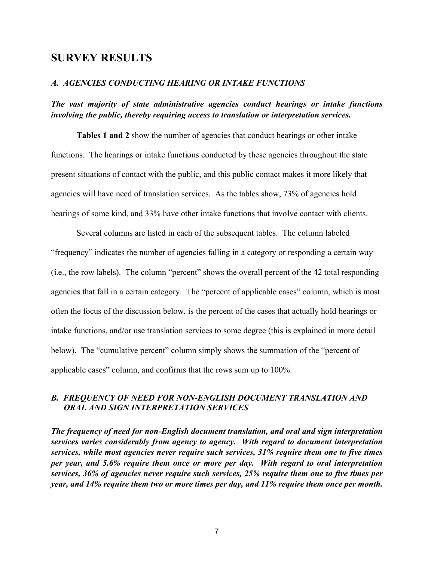# **SURVEY RESULTS**

#### *A. AGENCIES CONDUCTING HEARING OR INTAKE FUNCTIONS*

#### *The vast majority of state administrative agencies conduct hearings or intake functions involving the public, thereby requiring access to translation or interpretation services.*

**Tables 1 and 2** show the number of agencies that conduct hearings or other intake functions. The hearings or intake functions conducted by these agencies throughout the state present situations of contact with the public, and this public contact makes it more likely that agencies will have need of translation services. As the tables show, 73% of agencies hold hearings of some kind, and 33% have other intake functions that involve contact with clients.

Several columns are listed in each of the subsequent tables. The column labeled "frequency" indicates the number of agencies falling in a category or responding a certain way (i.e., the row labels). The column "percent" shows the overall percent of the 42 total responding agencies that fall in a certain category. The "percent of applicable cases" column, which is most often the focus of the discussion below, is the percent of the cases that actually hold hearings or intake functions, and/or use translation services to some degree (this is explained in more detail below). The "cumulative percent" column simply shows the summation of the "percent of applicable cases" column, and confirms that the rows sum up to 100%.

#### *B. FREQUENCY OF NEED FOR NON-ENGLISH DOCUMENT TRANSLATION AND ORAL AND SIGN INTERPRETATION SERVICES*

*The frequency of need for non-English document translation, and oral and sign interpretation services varies considerably from agency to agency. With regard to document interpretation services, while most agencies never require such services, 31% require them one to five times per year, and 5.6% require them once or more per day. With regard to oral interpretation services, 36% of agencies never require such services, 25% require them one to five times per year, and 14% require them two or more times per day, and 11% require them once per month.*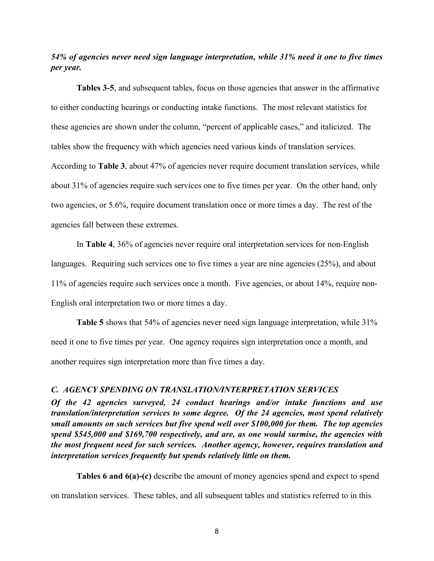*54% of agencies never need sign language interpretation, while 31% need it one to five times per year.* 

**Tables 3-5**, and subsequent tables, focus on those agencies that answer in the affirmative to either conducting hearings or conducting intake functions. The most relevant statistics for these agencies are shown under the column, "percent of applicable cases," and italicized. The tables show the frequency with which agencies need various kinds of translation services. According to **Table 3**, about 47% of agencies never require document translation services, while about 31% of agencies require such services one to five times per year. On the other hand, only two agencies, or 5.6%, require document translation once or more times a day. The rest of the agencies fall between these extremes.

In **Table 4**, 36% of agencies never require oral interpretation services for non-English languages. Requiring such services one to five times a year are nine agencies (25%), and about 11% of agencies require such services once a month. Five agencies, or about 14%, require non-English oral interpretation two or more times a day.

**Table 5** shows that 54% of agencies never need sign language interpretation, while 31% need it one to five times per year. One agency requires sign interpretation once a month, and another requires sign interpretation more than five times a day.

#### *C. AGENCY SPENDING ON TRANSLATION/INTERPRETATION SERVICES*

*Of the 42 agencies surveyed, 24 conduct hearings and/or intake functions and use translation/interpretation services to some degree. Of the 24 agencies, most spend relatively small amounts on such services but five spend well over \$100,000 for them. The top agencies spend \$545,000 and \$169,700 respectively, and are, as one would surmise, the agencies with the most frequent need for such services. Another agency, however, requires translation and interpretation services frequently but spends relatively little on them.*

**Tables 6 and 6(a)-(c)** describe the amount of money agencies spend and expect to spend on translation services. These tables, and all subsequent tables and statistics referred to in this

8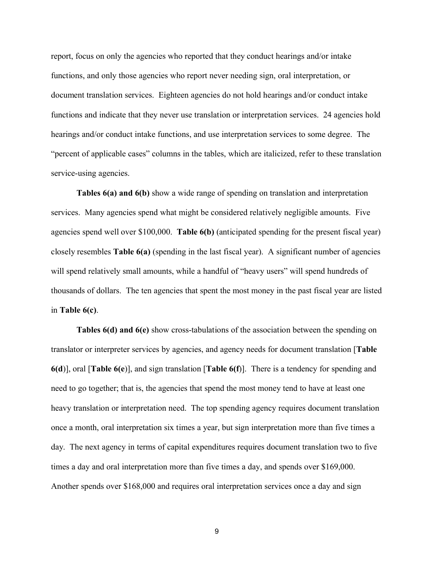report, focus on only the agencies who reported that they conduct hearings and/or intake functions, and only those agencies who report never needing sign, oral interpretation, or document translation services. Eighteen agencies do not hold hearings and/or conduct intake functions and indicate that they never use translation or interpretation services. 24 agencies hold hearings and/or conduct intake functions, and use interpretation services to some degree. The "percent of applicable cases" columns in the tables, which are italicized, refer to these translation service-using agencies.

**Tables 6(a) and 6(b)** show a wide range of spending on translation and interpretation services. Many agencies spend what might be considered relatively negligible amounts. Five agencies spend well over \$100,000. **Table 6(b)** (anticipated spending for the present fiscal year) closely resembles **Table 6(a)** (spending in the last fiscal year). A significant number of agencies will spend relatively small amounts, while a handful of "heavy users" will spend hundreds of thousands of dollars. The ten agencies that spent the most money in the past fiscal year are listed in **Table 6(c)**.

**Tables 6(d) and 6(e)** show cross-tabulations of the association between the spending on translator or interpreter services by agencies, and agency needs for document translation [**Table 6(d**)], oral [**Table 6(e**)], and sign translation [**Table 6(f**)]. There is a tendency for spending and need to go together; that is, the agencies that spend the most money tend to have at least one heavy translation or interpretation need. The top spending agency requires document translation once a month, oral interpretation six times a year, but sign interpretation more than five times a day. The next agency in terms of capital expenditures requires document translation two to five times a day and oral interpretation more than five times a day, and spends over \$169,000. Another spends over \$168,000 and requires oral interpretation services once a day and sign

9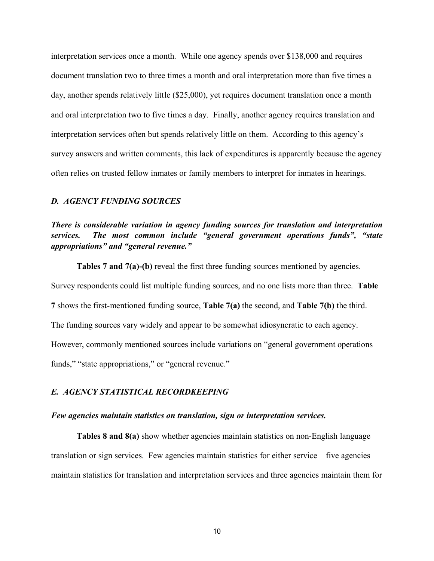interpretation services once a month. While one agency spends over \$138,000 and requires document translation two to three times a month and oral interpretation more than five times a day, another spends relatively little (\$25,000), yet requires document translation once a month and oral interpretation two to five times a day. Finally, another agency requires translation and interpretation services often but spends relatively little on them. According to this agency's survey answers and written comments, this lack of expenditures is apparently because the agency often relies on trusted fellow inmates or family members to interpret for inmates in hearings.

#### *D. AGENCY FUNDING SOURCES*

*There is considerable variation in agency funding sources for translation and interpretation services. The most common include "general government operations funds", "state appropriations" and "general revenue."*

**Tables 7 and 7(a)-(b)** reveal the first three funding sources mentioned by agencies. Survey respondents could list multiple funding sources, and no one lists more than three. **Table 7** shows the first-mentioned funding source, **Table 7(a)** the second, and **Table 7(b)** the third. The funding sources vary widely and appear to be somewhat idiosyncratic to each agency. However, commonly mentioned sources include variations on "general government operations funds," "state appropriations," or "general revenue."

#### *E. AGENCY STATISTICAL RECORDKEEPING*

#### *Few agencies maintain statistics on translation, sign or interpretation services.*

**Tables 8 and 8(a)** show whether agencies maintain statistics on non-English language translation or sign services. Few agencies maintain statistics for either service—five agencies maintain statistics for translation and interpretation services and three agencies maintain them for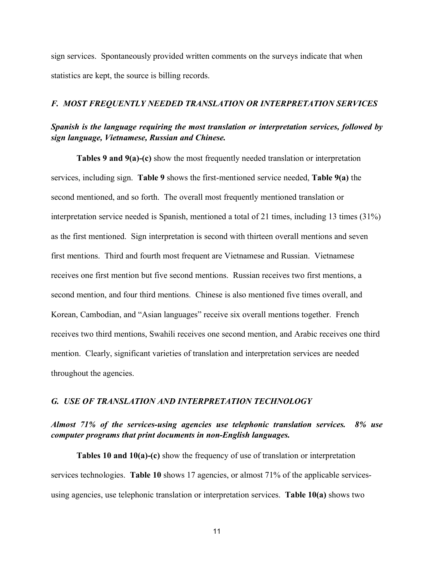sign services. Spontaneously provided written comments on the surveys indicate that when statistics are kept, the source is billing records.

#### *F. MOST FREQUENTLY NEEDED TRANSLATION OR INTERPRETATION SERVICES*

#### *Spanish is the language requiring the most translation or interpretation services, followed by sign language, Vietnamese, Russian and Chinese.*

**Tables 9 and 9(a)-(c)** show the most frequently needed translation or interpretation services, including sign. **Table 9** shows the first-mentioned service needed, **Table 9(a)** the second mentioned, and so forth. The overall most frequently mentioned translation or interpretation service needed is Spanish, mentioned a total of 21 times, including 13 times (31%) as the first mentioned. Sign interpretation is second with thirteen overall mentions and seven first mentions. Third and fourth most frequent are Vietnamese and Russian. Vietnamese receives one first mention but five second mentions. Russian receives two first mentions, a second mention, and four third mentions. Chinese is also mentioned five times overall, and Korean, Cambodian, and "Asian languages" receive six overall mentions together. French receives two third mentions, Swahili receives one second mention, and Arabic receives one third mention. Clearly, significant varieties of translation and interpretation services are needed throughout the agencies.

#### *G. USE OF TRANSLATION AND INTERPRETATION TECHNOLOGY*

#### *Almost 71% of the services-using agencies use telephonic translation services. 8% use computer programs that print documents in non-English languages.*

**Tables 10 and 10(a)-(c)** show the frequency of use of translation or interpretation services technologies. **Table 10** shows 17 agencies, or almost 71% of the applicable servicesusing agencies, use telephonic translation or interpretation services. **Table 10(a)** shows two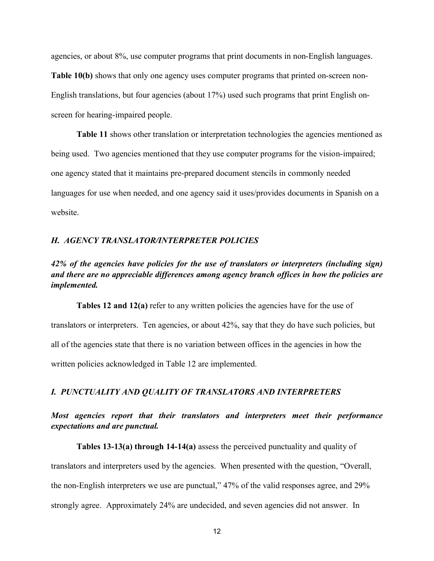agencies, or about 8%, use computer programs that print documents in non-English languages. **Table 10(b)** shows that only one agency uses computer programs that printed on-screen non-English translations, but four agencies (about 17%) used such programs that print English onscreen for hearing-impaired people.

**Table 11** shows other translation or interpretation technologies the agencies mentioned as being used. Two agencies mentioned that they use computer programs for the vision-impaired; one agency stated that it maintains pre-prepared document stencils in commonly needed languages for use when needed, and one agency said it uses/provides documents in Spanish on a website.

#### *H. AGENCY TRANSLATOR/INTERPRETER POLICIES*

### *42% of the agencies have policies for the use of translators or interpreters (including sign) and there are no appreciable differences among agency branch offices in how the policies are implemented.*

**Tables 12 and 12(a)** refer to any written policies the agencies have for the use of translators or interpreters. Ten agencies, or about 42%, say that they do have such policies, but all of the agencies state that there is no variation between offices in the agencies in how the written policies acknowledged in Table 12 are implemented.

#### *I. PUNCTUALITY AND QUALITY OF TRANSLATORS AND INTERPRETERS*

#### *Most agencies report that their translators and interpreters meet their performance expectations and are punctual.*

**Tables 13-13(a) through 14-14(a)** assess the perceived punctuality and quality of

translators and interpreters used by the agencies. When presented with the question, "Overall, the non-English interpreters we use are punctual," 47% of the valid responses agree, and 29% strongly agree. Approximately 24% are undecided, and seven agencies did not answer. In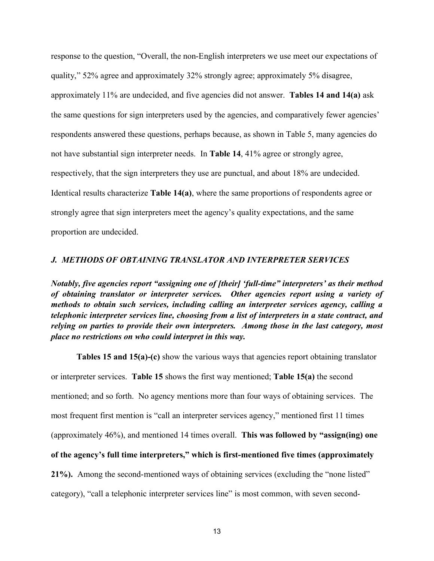response to the question, "Overall, the non-English interpreters we use meet our expectations of quality," 52% agree and approximately 32% strongly agree; approximately 5% disagree, approximately 11% are undecided, and five agencies did not answer. **Tables 14 and 14(a)** ask the same questions for sign interpreters used by the agencies, and comparatively fewer agencies' respondents answered these questions, perhaps because, as shown in Table 5, many agencies do not have substantial sign interpreter needs. In **Table 14**, 41% agree or strongly agree, respectively, that the sign interpreters they use are punctual, and about 18% are undecided. Identical results characterize **Table 14(a)**, where the same proportions of respondents agree or strongly agree that sign interpreters meet the agency's quality expectations, and the same proportion are undecided.

#### *J. METHODS OF OBTAINING TRANSLATOR AND INTERPRETER SERVICES*

*Notably, five agencies report "assigning one of [their] 'full-time" interpreters' as their method of obtaining translator or interpreter services. Other agencies report using a variety of methods to obtain such services, including calling an interpreter services agency, calling a telephonic interpreter services line, choosing from a list of interpreters in a state contract, and relying on parties to provide their own interpreters. Among those in the last category, most place no restrictions on who could interpret in this way.*

**Tables 15 and 15(a)-(c)** show the various ways that agencies report obtaining translator or interpreter services. **Table 15** shows the first way mentioned; **Table 15(a)** the second mentioned; and so forth. No agency mentions more than four ways of obtaining services. The most frequent first mention is "call an interpreter services agency," mentioned first 11 times (approximately 46%), and mentioned 14 times overall. **This was followed by "assign(ing) one of the agency's full time interpreters," which is first-mentioned five times (approximately 21%).** Among the second-mentioned ways of obtaining services (excluding the "none listed" category), "call a telephonic interpreter services line" is most common, with seven second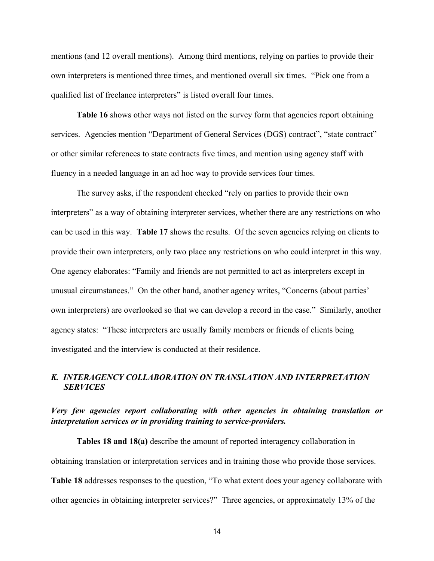mentions (and 12 overall mentions). Among third mentions, relying on parties to provide their own interpreters is mentioned three times, and mentioned overall six times. "Pick one from a qualified list of freelance interpreters" is listed overall four times.

Table 16 shows other ways not listed on the survey form that agencies report obtaining services. Agencies mention "Department of General Services (DGS) contract", "state contract" or other similar references to state contracts five times, and mention using agency staff with fluency in a needed language in an ad hoc way to provide services four times.

The survey asks, if the respondent checked "rely on parties to provide their own interpreters" as a way of obtaining interpreter services, whether there are any restrictions on who can be used in this way. **Table 17** shows the results. Of the seven agencies relying on clients to provide their own interpreters, only two place any restrictions on who could interpret in this way. One agency elaborates: "Family and friends are not permitted to act as interpreters except in unusual circumstances." On the other hand, another agency writes, "Concerns (about parties' own interpreters) are overlooked so that we can develop a record in the case." Similarly, another agency states: "These interpreters are usually family members or friends of clients being investigated and the interview is conducted at their residence.

#### *K. INTERAGENCY COLLABORATION ON TRANSLATION AND INTERPRETATION SERVICES*

#### *Very few agencies report collaborating with other agencies in obtaining translation or interpretation services or in providing training to service-providers.*

**Tables 18 and 18(a)** describe the amount of reported interagency collaboration in obtaining translation or interpretation services and in training those who provide those services. **Table 18** addresses responses to the question, "To what extent does your agency collaborate with other agencies in obtaining interpreter services?" Three agencies, or approximately 13% of the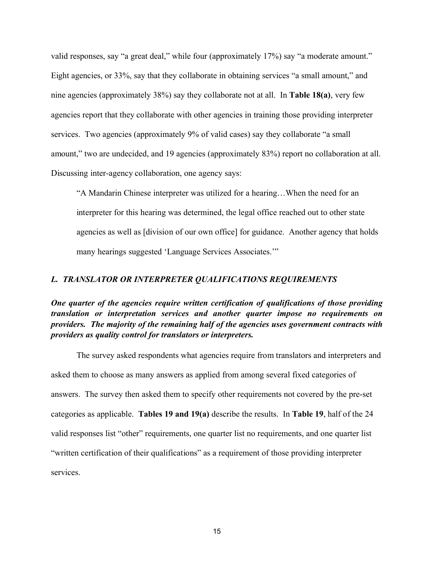valid responses, say "a great deal," while four (approximately 17%) say "a moderate amount." Eight agencies, or 33%, say that they collaborate in obtaining services "a small amount," and nine agencies (approximately 38%) say they collaborate not at all. In **Table 18(a)**, very few agencies report that they collaborate with other agencies in training those providing interpreter services. Two agencies (approximately 9% of valid cases) say they collaborate "a small amount," two are undecided, and 19 agencies (approximately 83%) report no collaboration at all. Discussing inter-agency collaboration, one agency says:

"A Mandarin Chinese interpreter was utilized for a hearing…When the need for an interpreter for this hearing was determined, the legal office reached out to other state agencies as well as [division of our own office] for guidance. Another agency that holds many hearings suggested 'Language Services Associates.'"

#### *L. TRANSLATOR OR INTERPRETER QUALIFICATIONS REQUIREMENTS*

*One quarter of the agencies require written certification of qualifications of those providing translation or interpretation services and another quarter impose no requirements on providers. The majority of the remaining half of the agencies uses government contracts with providers as quality control for translators or interpreters.*

The survey asked respondents what agencies require from translators and interpreters and asked them to choose as many answers as applied from among several fixed categories of answers. The survey then asked them to specify other requirements not covered by the pre-set categories as applicable. **Tables 19 and 19(a)** describe the results. In **Table 19**, half of the 24 valid responses list "other" requirements, one quarter list no requirements, and one quarter list "written certification of their qualifications" as a requirement of those providing interpreter services.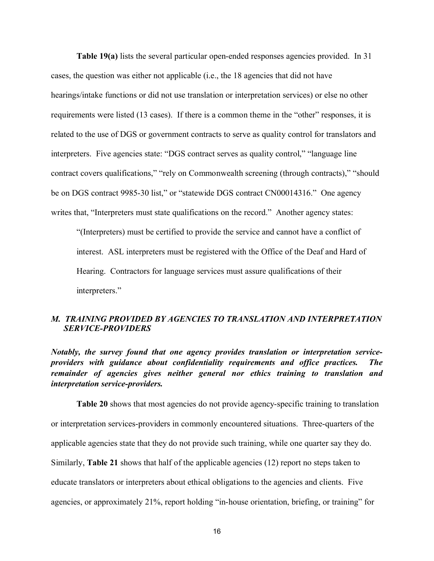**Table 19(a)** lists the several particular open-ended responses agencies provided. In 31 cases, the question was either not applicable (i.e., the 18 agencies that did not have hearings/intake functions or did not use translation or interpretation services) or else no other requirements were listed (13 cases). If there is a common theme in the "other" responses, it is related to the use of DGS or government contracts to serve as quality control for translators and interpreters. Five agencies state: "DGS contract serves as quality control," "language line contract covers qualifications," "rely on Commonwealth screening (through contracts)," "should be on DGS contract 9985-30 list," or "statewide DGS contract CN00014316." One agency writes that, "Interpreters must state qualifications on the record." Another agency states:

"(Interpreters) must be certified to provide the service and cannot have a conflict of interest. ASL interpreters must be registered with the Office of the Deaf and Hard of Hearing. Contractors for language services must assure qualifications of their interpreters."

#### *M. TRAINING PROVIDED BY AGENCIES TO TRANSLATION AND INTERPRETATION SERVICE-PROVIDERS*

*Notably, the survey found that one agency provides translation or interpretation serviceproviders with guidance about confidentiality requirements and office practices. The remainder of agencies gives neither general nor ethics training to translation and interpretation service-providers.* 

**Table 20** shows that most agencies do not provide agency-specific training to translation or interpretation services-providers in commonly encountered situations. Three-quarters of the applicable agencies state that they do not provide such training, while one quarter say they do. Similarly, **Table 21** shows that half of the applicable agencies (12) report no steps taken to educate translators or interpreters about ethical obligations to the agencies and clients. Five agencies, or approximately 21%, report holding "in-house orientation, briefing, or training" for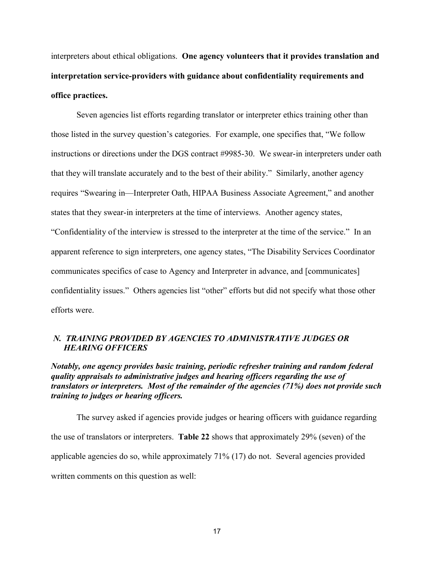interpreters about ethical obligations. **One agency volunteers that it provides translation and interpretation service-providers with guidance about confidentiality requirements and office practices.** 

Seven agencies list efforts regarding translator or interpreter ethics training other than those listed in the survey question's categories. For example, one specifies that, "We follow instructions or directions under the DGS contract #9985-30. We swear-in interpreters under oath that they will translate accurately and to the best of their ability." Similarly, another agency requires "Swearing in—Interpreter Oath, HIPAA Business Associate Agreement," and another states that they swear-in interpreters at the time of interviews. Another agency states, "Confidentiality of the interview is stressed to the interpreter at the time of the service." In an apparent reference to sign interpreters, one agency states, "The Disability Services Coordinator communicates specifics of case to Agency and Interpreter in advance, and [communicates] confidentiality issues." Others agencies list "other" efforts but did not specify what those other efforts were.

#### *N. TRAINING PROVIDED BY AGENCIES TO ADMINISTRATIVE JUDGES OR HEARING OFFICERS*

*Notably, one agency provides basic training, periodic refresher training and random federal quality appraisals to administrative judges and hearing officers regarding the use of translators or interpreters. Most of the remainder of the agencies (71%) does not provide such training to judges or hearing officers.* 

The survey asked if agencies provide judges or hearing officers with guidance regarding the use of translators or interpreters. **Table 22** shows that approximately 29% (seven) of the applicable agencies do so, while approximately 71% (17) do not. Several agencies provided written comments on this question as well: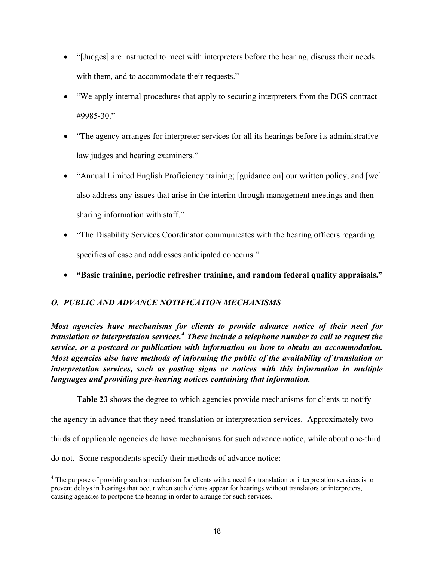- "[Judges] are instructed to meet with interpreters before the hearing, discuss their needs with them, and to accommodate their requests."
- · "We apply internal procedures that apply to securing interpreters from the DGS contract #9985-30."
- · "The agency arranges for interpreter services for all its hearings before its administrative law judges and hearing examiners."
- · "Annual Limited English Proficiency training; [guidance on] our written policy, and [we] also address any issues that arise in the interim through management meetings and then sharing information with staff."
- · "The Disability Services Coordinator communicates with the hearing officers regarding specifics of case and addresses anticipated concerns."
- · **"Basic training, periodic refresher training, and random federal quality appraisals."**

# *O. PUBLIC AND ADVANCE NOTIFICATION MECHANISMS*

*Most agencies have mechanisms for clients to provide advance notice of their need for translation or interpretation services.<sup>4</sup> These include a telephone number to call to request the service, or a postcard or publication with information on how to obtain an accommodation. Most agencies also have methods of informing the public of the availability of translation or interpretation services, such as posting signs or notices with this information in multiple languages and providing pre-hearing notices containing that information.*

**Table 23** shows the degree to which agencies provide mechanisms for clients to notify

the agency in advance that they need translation or interpretation services. Approximately twothirds of applicable agencies do have mechanisms for such advance notice, while about one-third do not. Some respondents specify their methods of advance notice:

<sup>&</sup>lt;sup>4</sup> The purpose of providing such a mechanism for clients with a need for translation or interpretation services is to prevent delays in hearings that occur when such clients appear for hearings without translators or interpreters, causing agencies to postpone the hearing in order to arrange for such services.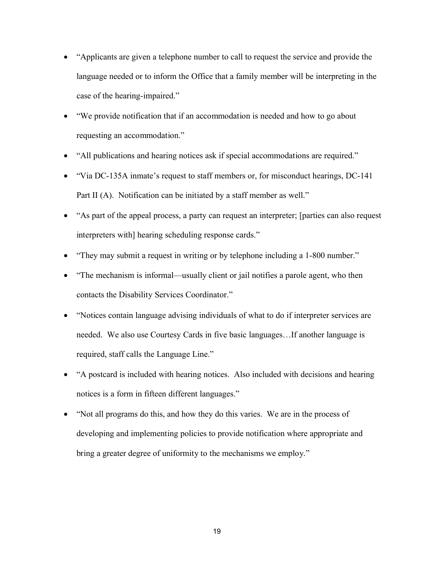- · "Applicants are given a telephone number to call to request the service and provide the language needed or to inform the Office that a family member will be interpreting in the case of the hearing-impaired."
- · "We provide notification that if an accommodation is needed and how to go about requesting an accommodation."
- "All publications and hearing notices ask if special accommodations are required."
- · "Via DC-135A inmate's request to staff members or, for misconduct hearings, DC-141 Part II (A). Notification can be initiated by a staff member as well."
- · "As part of the appeal process, a party can request an interpreter; [parties can also request interpreters with] hearing scheduling response cards."
- "They may submit a request in writing or by telephone including a 1-800 number."
- · "The mechanism is informal—usually client or jail notifies a parole agent, who then contacts the Disability Services Coordinator."
- · "Notices contain language advising individuals of what to do if interpreter services are needed. We also use Courtesy Cards in five basic languages…If another language is required, staff calls the Language Line."
- · "A postcard is included with hearing notices. Also included with decisions and hearing notices is a form in fifteen different languages."
- · "Not all programs do this, and how they do this varies. We are in the process of developing and implementing policies to provide notification where appropriate and bring a greater degree of uniformity to the mechanisms we employ."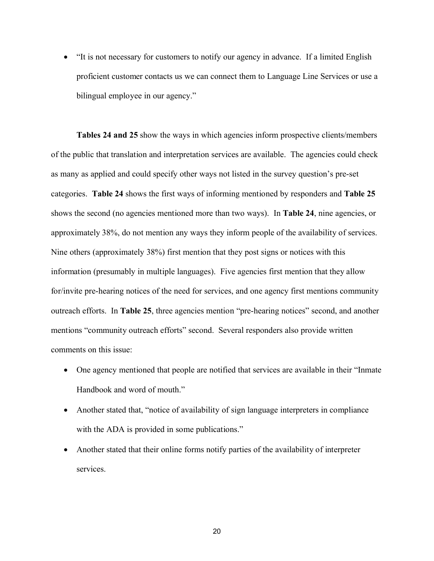• "It is not necessary for customers to notify our agency in advance. If a limited English proficient customer contacts us we can connect them to Language Line Services or use a bilingual employee in our agency."

**Tables 24 and 25** show the ways in which agencies inform prospective clients/members of the public that translation and interpretation services are available. The agencies could check as many as applied and could specify other ways not listed in the survey question's pre-set categories. **Table 24** shows the first ways of informing mentioned by responders and **Table 25**  shows the second (no agencies mentioned more than two ways). In **Table 24**, nine agencies, or approximately 38%, do not mention any ways they inform people of the availability of services. Nine others (approximately 38%) first mention that they post signs or notices with this information (presumably in multiple languages). Five agencies first mention that they allow for/invite pre-hearing notices of the need for services, and one agency first mentions community outreach efforts. In **Table 25**, three agencies mention "pre-hearing notices" second, and another mentions "community outreach efforts" second. Several responders also provide written comments on this issue:

- · One agency mentioned that people are notified that services are available in their "Inmate Handbook and word of mouth."
- Another stated that, "notice of availability of sign language interpreters in compliance with the ADA is provided in some publications."
- Another stated that their online forms notify parties of the availability of interpreter services.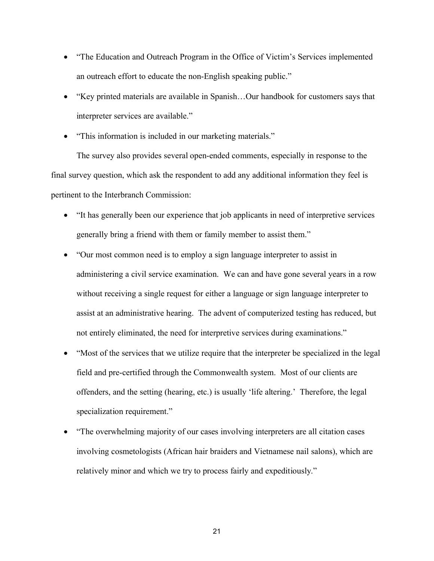- "The Education and Outreach Program in the Office of Victim's Services implemented an outreach effort to educate the non-English speaking public."
- "Key printed materials are available in Spanish...Our handbook for customers says that interpreter services are available."
- "This information is included in our marketing materials."

The survey also provides several open-ended comments, especially in response to the final survey question, which ask the respondent to add any additional information they feel is pertinent to the Interbranch Commission:

- · "It has generally been our experience that job applicants in need of interpretive services generally bring a friend with them or family member to assist them."
- · "Our most common need is to employ a sign language interpreter to assist in administering a civil service examination. We can and have gone several years in a row without receiving a single request for either a language or sign language interpreter to assist at an administrative hearing. The advent of computerized testing has reduced, but not entirely eliminated, the need for interpretive services during examinations."
- · "Most of the services that we utilize require that the interpreter be specialized in the legal field and pre-certified through the Commonwealth system. Most of our clients are offenders, and the setting (hearing, etc.) is usually 'life altering.' Therefore, the legal specialization requirement."
- · "The overwhelming majority of our cases involving interpreters are all citation cases involving cosmetologists (African hair braiders and Vietnamese nail salons), which are relatively minor and which we try to process fairly and expeditiously."

21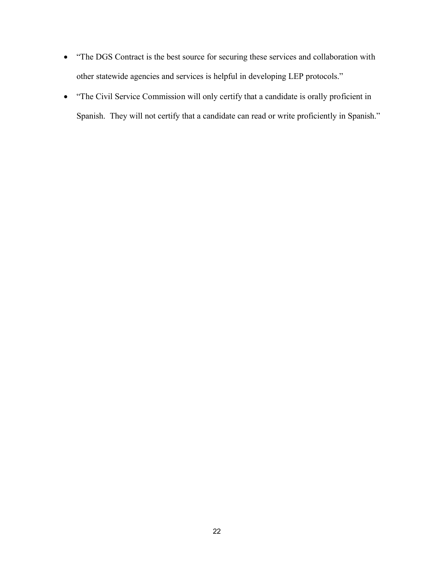- · "The DGS Contract is the best source for securing these services and collaboration with other statewide agencies and services is helpful in developing LEP protocols."
- · "The Civil Service Commission will only certify that a candidate is orally proficient in Spanish. They will not certify that a candidate can read or write proficiently in Spanish."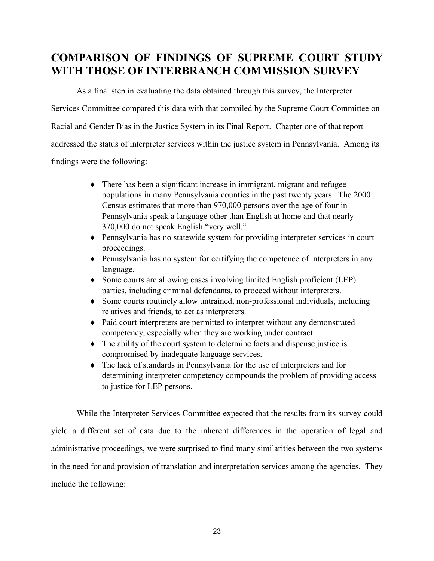# **COMPARISON OF FINDINGS OF SUPREME COURT STUDY WITH THOSE OF INTERBRANCH COMMISSION SURVEY**

As a final step in evaluating the data obtained through this survey, the Interpreter Services Committee compared this data with that compiled by the Supreme Court Committee on Racial and Gender Bias in the Justice System in its Final Report. Chapter one of that report addressed the status of interpreter services within the justice system in Pennsylvania. Among its findings were the following:

- $\bullet$  There has been a significant increase in immigrant, migrant and refugee populations in many Pennsylvania counties in the past twenty years. The 2000 Census estimates that more than 970,000 persons over the age of four in Pennsylvania speak a language other than English at home and that nearly 370,000 do not speak English "very well."
- Pennsylvania has no statewide system for providing interpreter services in court proceedings.
- Pennsylvania has no system for certifying the competence of interpreters in any language.
- Some courts are allowing cases involving limited English proficient (LEP) parties, including criminal defendants, to proceed without interpreters.
- $\bullet$  Some courts routinely allow untrained, non-professional individuals, including relatives and friends, to act as interpreters.
- Paid court interpreters are permitted to interpret without any demonstrated competency, especially when they are working under contract.
- $\bullet$  The ability of the court system to determine facts and dispense justice is compromised by inadequate language services.
- $\bullet$  The lack of standards in Pennsylvania for the use of interpreters and for determining interpreter competency compounds the problem of providing access to justice for LEP persons.

While the Interpreter Services Committee expected that the results from its survey could yield a different set of data due to the inherent differences in the operation of legal and administrative proceedings, we were surprised to find many similarities between the two systems in the need for and provision of translation and interpretation services among the agencies. They include the following: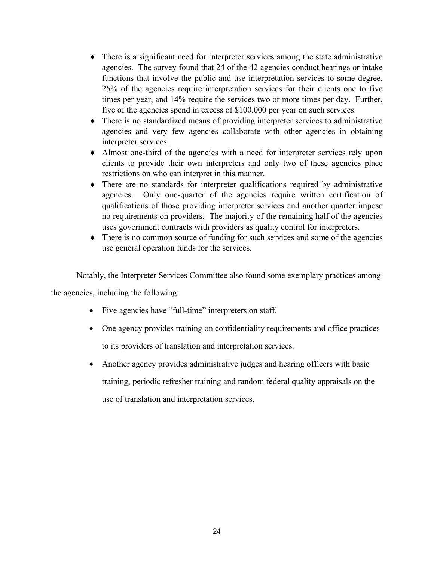- $\bullet$  There is a significant need for interpreter services among the state administrative agencies. The survey found that 24 of the 42 agencies conduct hearings or intake functions that involve the public and use interpretation services to some degree. 25% of the agencies require interpretation services for their clients one to five times per year, and 14% require the services two or more times per day. Further, five of the agencies spend in excess of \$100,000 per year on such services.
- $\bullet$  There is no standardized means of providing interpreter services to administrative agencies and very few agencies collaborate with other agencies in obtaining interpreter services.
- Almost one-third of the agencies with a need for interpreter services rely upon clients to provide their own interpreters and only two of these agencies place restrictions on who can interpret in this manner.
- $\bullet$  There are no standards for interpreter qualifications required by administrative agencies. Only one-quarter of the agencies require written certification of qualifications of those providing interpreter services and another quarter impose no requirements on providers. The majority of the remaining half of the agencies uses government contracts with providers as quality control for interpreters.
- $\bullet$  There is no common source of funding for such services and some of the agencies use general operation funds for the services.

Notably, the Interpreter Services Committee also found some exemplary practices among

the agencies, including the following:

- Five agencies have "full-time" interpreters on staff.
- · One agency provides training on confidentiality requirements and office practices to its providers of translation and interpretation services.
- Another agency provides administrative judges and hearing officers with basic training, periodic refresher training and random federal quality appraisals on the use of translation and interpretation services.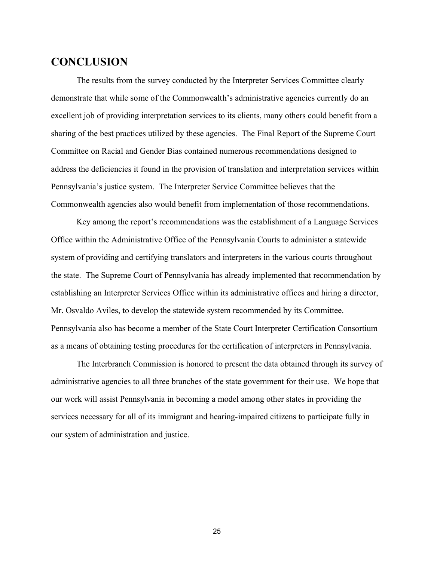# **CONCLUSION**

The results from the survey conducted by the Interpreter Services Committee clearly demonstrate that while some of the Commonwealth's administrative agencies currently do an excellent job of providing interpretation services to its clients, many others could benefit from a sharing of the best practices utilized by these agencies. The Final Report of the Supreme Court Committee on Racial and Gender Bias contained numerous recommendations designed to address the deficiencies it found in the provision of translation and interpretation services within Pennsylvania's justice system. The Interpreter Service Committee believes that the Commonwealth agencies also would benefit from implementation of those recommendations.

Key among the report's recommendations was the establishment of a Language Services Office within the Administrative Office of the Pennsylvania Courts to administer a statewide system of providing and certifying translators and interpreters in the various courts throughout the state. The Supreme Court of Pennsylvania has already implemented that recommendation by establishing an Interpreter Services Office within its administrative offices and hiring a director, Mr. Osvaldo Aviles, to develop the statewide system recommended by its Committee. Pennsylvania also has become a member of the State Court Interpreter Certification Consortium as a means of obtaining testing procedures for the certification of interpreters in Pennsylvania.

The Interbranch Commission is honored to present the data obtained through its survey of administrative agencies to all three branches of the state government for their use. We hope that our work will assist Pennsylvania in becoming a model among other states in providing the services necessary for all of its immigrant and hearing-impaired citizens to participate fully in our system of administration and justice.

25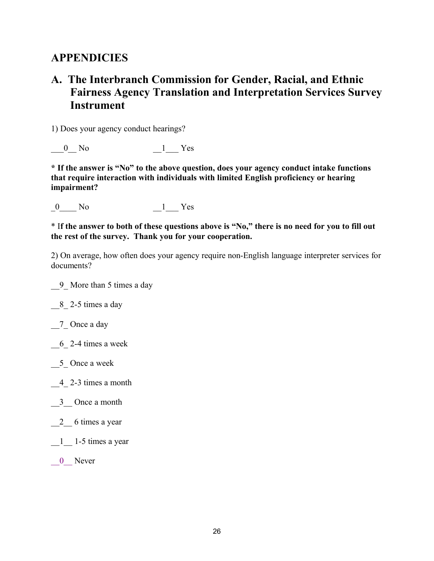# **APPENDICIES**

# **A. The Interbranch Commission for Gender, Racial, and Ethnic Fairness Agency Translation and Interpretation Services Survey Instrument**

1) Does your agency conduct hearings?

0 No  $1$  Yes

**\* If the answer is "No" to the above question, does your agency conduct intake functions that require interaction with individuals with limited English proficiency or hearing impairment?**

0 No 1 Yes

\* I**f the answer to both of these questions above is "No," there is no need for you to fill out the rest of the survey. Thank you for your cooperation.** 

2) On average, how often does your agency require non-English language interpreter services for documents?

\_\_9\_ More than 5 times a day

\_\_8\_ 2-5 times a day

 $\frac{7}{2}$  Once a day

\_\_6\_ 2-4 times a week

5 Once a week

- $-4$  2-3 times a month
- \_\_3\_\_ Once a month
- $\frac{2}{2}$  6 times a year

\_\_1\_\_ 1-5 times a year

0 Never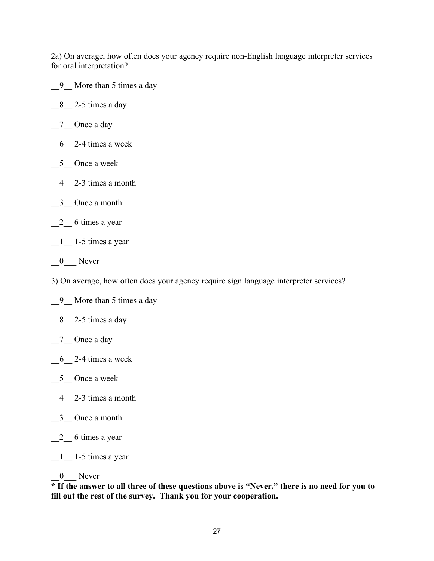2a) On average, how often does your agency require non-English language interpreter services for oral interpretation?

\_\_9\_\_ More than 5 times a day

 $8$   $2-5$  times a day

- 7 Once a day
- $-6$ <sup>2-4</sup> times a week
- $\_5$  Once a week
- $-4$   $-2$ -3 times a month
- $-3$  Once a month
- 2 6 times a year

 $\frac{1}{2}$  1-5 times a year

 $\frac{0}{\sqrt{1-\lambda}}$  Never

3) On average, how often does your agency require sign language interpreter services?

\_\_9\_\_ More than 5 times a day

\_\_8\_\_ 2-5 times a day

- $\frac{7}{2}$  Once a day
- $6$  2-4 times a week
- $\_5$  Once a week
- $-4$   $2-3$  times a month
- \_\_3\_\_ Once a month
- $\frac{2}{2}$  6 times a year

 $\frac{1}{2}$  1-5 times a year

#### 0 Never

**\* If the answer to all three of these questions above is "Never," there is no need for you to fill out the rest of the survey. Thank you for your cooperation.**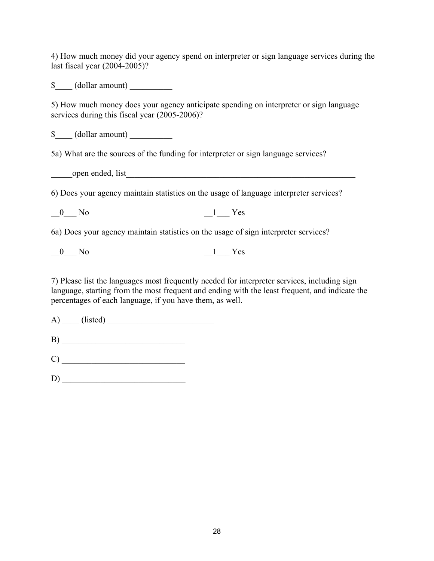4) How much money did your agency spend on interpreter or sign language services during the last fiscal year (2004-2005)?

\$ (dollar amount)

5) How much money does your agency anticipate spending on interpreter or sign language services during this fiscal year (2005-2006)?

 $\text{\$}$  (dollar amount)

5a) What are the sources of the funding for interpreter or sign language services?

\_\_\_\_\_open ended, list\_\_\_\_\_\_\_\_\_\_\_\_\_\_\_\_\_\_\_\_\_\_\_\_\_\_\_\_\_\_\_\_\_\_\_\_\_\_\_\_\_\_\_\_\_\_\_\_\_\_\_\_\_\_

6) Does your agency maintain statistics on the usage of language interpreter services?

 $\begin{array}{cccc} 0 & \text{No} & \text{ } & 1 & \text{Yes} \end{array}$ 

6a) Does your agency maintain statistics on the usage of sign interpreter services?

 $\begin{array}{ccc} 0 & \text{No} & \text{ } & \text{ } & \text{ } \\ \end{array}$  Yes

7) Please list the languages most frequently needed for interpreter services, including sign language, starting from the most frequent and ending with the least frequent, and indicate the percentages of each language, if you have them, as well.

A) (listed)

 $B)$ 

C) \_\_\_\_\_\_\_\_\_\_\_\_\_\_\_\_\_\_\_\_\_\_\_\_\_\_\_\_\_

D) \_\_\_\_\_\_\_\_\_\_\_\_\_\_\_\_\_\_\_\_\_\_\_\_\_\_\_\_\_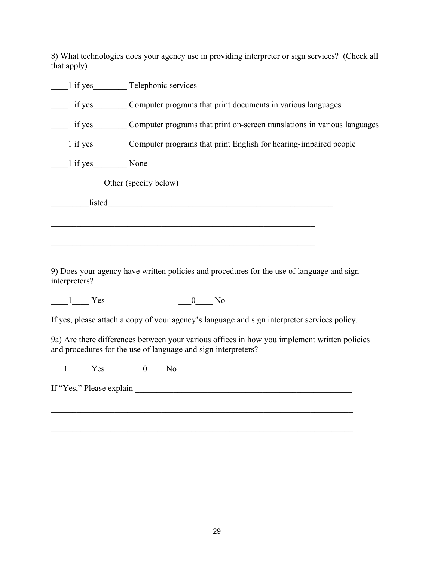8) What technologies does your agency use in providing interpreter or sign services? (Check all that apply)

|               | 1 if yes Telephonic services                                                      |
|---------------|-----------------------------------------------------------------------------------|
| 1 if yes      | Computer programs that print documents in various languages                       |
|               | 1 if yes Computer programs that print on-screen translations in various languages |
|               | 1 if yes Computer programs that print English for hearing-impaired people         |
| 1 if yes None |                                                                                   |
|               | Other (specify below)                                                             |
| listed        |                                                                                   |
|               |                                                                                   |
|               |                                                                                   |

9) Does your agency have written policies and procedures for the use of language and sign interpreters?

 $\frac{1}{\sqrt{1-\frac{1}{\sqrt{1-\frac{1}{\sqrt{1-\frac{1}{\sqrt{1-\frac{1}{\sqrt{1-\frac{1}{\sqrt{1-\frac{1}{\sqrt{1-\frac{1}{\sqrt{1-\frac{1}{\sqrt{1-\frac{1}{\sqrt{1-\frac{1}{\sqrt{1-\frac{1}{\sqrt{1-\frac{1}{\sqrt{1-\frac{1}{\sqrt{1-\frac{1}{\sqrt{1-\frac{1}{\sqrt{1-\frac{1}{\sqrt{1-\frac{1}{\sqrt{1-\frac{1}{\sqrt{1-\frac{1}{\sqrt{1-\frac{1}{\sqrt{1-\frac{1}{\sqrt{1-\frac{1}{\sqrt{1-\frac{1}{\sqrt{1-\frac{1$ 

If yes, please attach a copy of your agency's language and sign interpreter services policy.

\_\_\_\_\_\_\_\_\_\_\_\_\_\_\_\_\_\_\_\_\_\_\_\_\_\_\_\_\_\_\_\_\_\_\_\_\_\_\_\_\_\_\_\_\_\_\_\_\_\_\_\_\_\_\_\_\_\_\_\_\_\_\_\_\_\_\_\_\_\_\_

\_\_\_\_\_\_\_\_\_\_\_\_\_\_\_\_\_\_\_\_\_\_\_\_\_\_\_\_\_\_\_\_\_\_\_\_\_\_\_\_\_\_\_\_\_\_\_\_\_\_\_\_\_\_\_\_\_\_\_\_\_\_\_\_\_\_\_\_\_\_\_

\_\_\_\_\_\_\_\_\_\_\_\_\_\_\_\_\_\_\_\_\_\_\_\_\_\_\_\_\_\_\_\_\_\_\_\_\_\_\_\_\_\_\_\_\_\_\_\_\_\_\_\_\_\_\_\_\_\_\_\_\_\_\_\_\_\_\_\_\_\_\_

9a) Are there differences between your various offices in how you implement written policies and procedures for the use of language and sign interpreters?

 $-1$  Yes  $0$  No

If "Yes," Please explain \_\_\_\_\_\_\_\_\_\_\_\_\_\_\_\_\_\_\_\_\_\_\_\_\_\_\_\_\_\_\_\_\_\_\_\_\_\_\_\_\_\_\_\_\_\_\_\_\_\_\_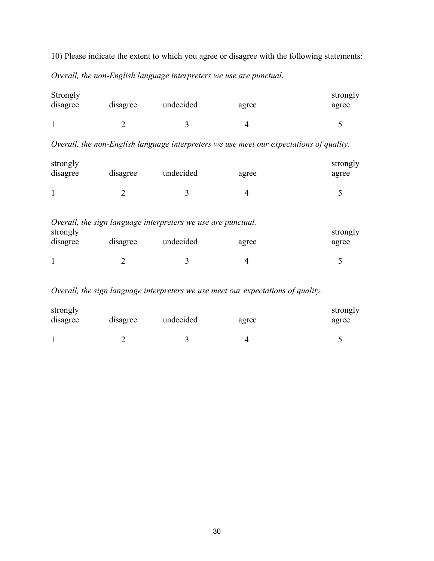10) Please indicate the extent to which you agree or disagree with the following statements: *Overall, the non-English language interpreters we use are punctual*.

| Strongly<br>disagree<br>disagree |  | undecided | agree | strongly<br>agree |
|----------------------------------|--|-----------|-------|-------------------|
|                                  |  |           |       |                   |

*Overall, the non-English language interpreters we use meet our expectations of quality.*

| strongly<br>disagree | disagree | undecided | agree | strongly<br>agree |
|----------------------|----------|-----------|-------|-------------------|
|                      |          |           |       |                   |

|          |          | Overall, the sign language interpreters we use are punctual. |       |          |
|----------|----------|--------------------------------------------------------------|-------|----------|
| strongly |          |                                                              |       | strongly |
| disagree | disagree | undecided                                                    | agree | agree    |
|          |          |                                                              |       |          |
|          |          |                                                              |       |          |

*Overall, the sign language interpreters we use meet our expectations of quality.*

| strongly<br>disagree | disagree | undecided | agree | strongly<br>agree |
|----------------------|----------|-----------|-------|-------------------|
|                      |          |           |       |                   |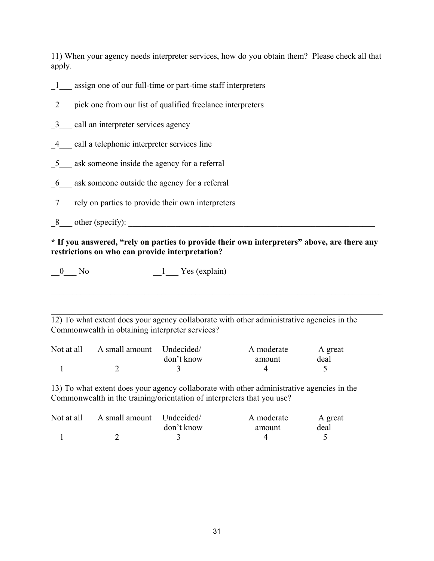11) When your agency needs interpreter services, how do you obtain them? Please check all that apply.

- \_1\_\_\_ assign one of our full-time or part-time staff interpreters
- 2 pick one from our list of qualified freelance interpreters
- 3 call an interpreter services agency
- \_4\_\_\_ call a telephonic interpreter services line
- 5 ask someone inside the agency for a referral
- \_6\_\_\_ ask someone outside the agency for a referral
- \_7\_\_\_ rely on parties to provide their own interpreters
- $8$  other (specify):

### **\* If you answered, "rely on parties to provide their own interpreters" above, are there any restrictions on who can provide interpretation?**

 $\mathcal{L}_\mathcal{L} = \{ \mathcal{L}_\mathcal{L} = \{ \mathcal{L}_\mathcal{L} = \{ \mathcal{L}_\mathcal{L} = \{ \mathcal{L}_\mathcal{L} = \{ \mathcal{L}_\mathcal{L} = \{ \mathcal{L}_\mathcal{L} = \{ \mathcal{L}_\mathcal{L} = \{ \mathcal{L}_\mathcal{L} = \{ \mathcal{L}_\mathcal{L} = \{ \mathcal{L}_\mathcal{L} = \{ \mathcal{L}_\mathcal{L} = \{ \mathcal{L}_\mathcal{L} = \{ \mathcal{L}_\mathcal{L} = \{ \mathcal{L}_\mathcal{$ 

 $\_0$  No  $\_1$  Yes (explain)

\_\_\_\_\_\_\_\_\_\_\_\_\_\_\_\_\_\_\_\_\_\_\_\_\_\_\_\_\_\_\_\_\_\_\_\_\_\_\_\_\_\_\_\_\_\_\_\_\_\_\_\_\_\_\_\_\_\_\_\_\_\_\_\_\_\_\_\_\_\_\_\_\_\_\_\_\_\_ 12) To what extent does your agency collaborate with other administrative agencies in the Commonwealth in obtaining interpreter services?

| Not at all | A small amount Undecided/ |            | A moderate | A great |
|------------|---------------------------|------------|------------|---------|
|            |                           | don't know | amount     | deal    |
|            |                           |            |            |         |

13) To what extent does your agency collaborate with other administrative agencies in the Commonwealth in the training/orientation of interpreters that you use?

| Not at all | A small amount Undecided |            | A moderate | A great |
|------------|--------------------------|------------|------------|---------|
|            |                          | don't know | amount     | deal    |
|            |                          |            |            |         |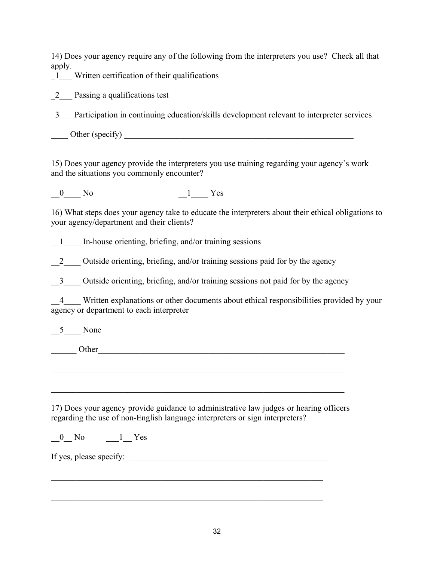14) Does your agency require any of the following from the interpreters you use? Check all that apply.

 $-1$  Written certification of their qualifications

2 Passing a qualifications test

\_3\_\_\_ Participation in continuing education/skills development relevant to interpreter services

 $\blacksquare$  Other (specify)  $\blacksquare$ 

15) Does your agency provide the interpreters you use training regarding your agency's work and the situations you commonly encounter?

0 No 1 Yes

16) What steps does your agency take to educate the interpreters about their ethical obligations to your agency/department and their clients?

1 In-house orienting, briefing, and/or training sessions

2 Outside orienting, briefing, and/or training sessions paid for by the agency

3 Outside orienting, briefing, and/or training sessions not paid for by the agency

4 Written explanations or other documents about ethical responsibilities provided by your agency or department to each interpreter

 $\frac{5}{2}$  None

\_\_\_\_\_\_ Other\_\_\_\_\_\_\_\_\_\_\_\_\_\_\_\_\_\_\_\_\_\_\_\_\_\_\_\_\_\_\_\_\_\_\_\_\_\_\_\_\_\_\_\_\_\_\_\_\_\_\_\_\_\_\_\_\_\_

17) Does your agency provide guidance to administrative law judges or hearing officers regarding the use of non-English language interpreters or sign interpreters?

 $\mathcal{L}_\text{max}$  , and the contribution of the contribution of the contribution of the contribution of the contribution of the contribution of the contribution of the contribution of the contribution of the contribution of t

 $\mathcal{L}_\text{max}$  , and the contribution of the contribution of the contribution of the contribution of the contribution of the contribution of the contribution of the contribution of the contribution of the contribution of t

 $\mathcal{L}_\mathcal{L} = \mathcal{L}_\mathcal{L} = \mathcal{L}_\mathcal{L} = \mathcal{L}_\mathcal{L} = \mathcal{L}_\mathcal{L} = \mathcal{L}_\mathcal{L} = \mathcal{L}_\mathcal{L} = \mathcal{L}_\mathcal{L} = \mathcal{L}_\mathcal{L} = \mathcal{L}_\mathcal{L} = \mathcal{L}_\mathcal{L} = \mathcal{L}_\mathcal{L} = \mathcal{L}_\mathcal{L} = \mathcal{L}_\mathcal{L} = \mathcal{L}_\mathcal{L} = \mathcal{L}_\mathcal{L} = \mathcal{L}_\mathcal{L}$ 

 $\mathcal{L}_\mathcal{L} = \mathcal{L}_\mathcal{L} = \mathcal{L}_\mathcal{L} = \mathcal{L}_\mathcal{L} = \mathcal{L}_\mathcal{L} = \mathcal{L}_\mathcal{L} = \mathcal{L}_\mathcal{L} = \mathcal{L}_\mathcal{L} = \mathcal{L}_\mathcal{L} = \mathcal{L}_\mathcal{L} = \mathcal{L}_\mathcal{L} = \mathcal{L}_\mathcal{L} = \mathcal{L}_\mathcal{L} = \mathcal{L}_\mathcal{L} = \mathcal{L}_\mathcal{L} = \mathcal{L}_\mathcal{L} = \mathcal{L}_\mathcal{L}$ 

 $\begin{array}{cccc} 0 & \text{No} & \text{1} & \text{Yes} \end{array}$ 

If yes, please specify: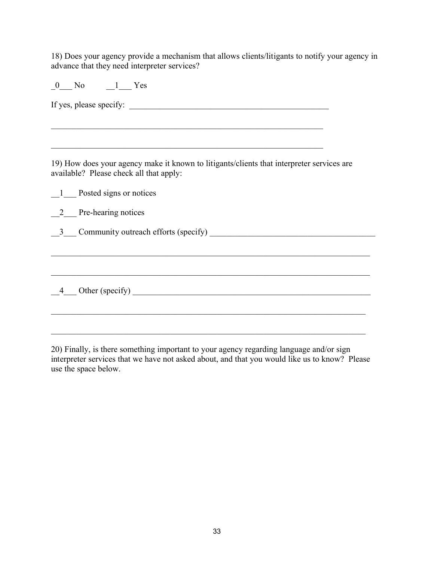18) Does your agency provide a mechanism that allows clients/litigants to notify your agency in advance that they need interpreter services?

0 No 1 Yes

If yes, please specify: \_\_\_\_\_\_\_\_\_\_\_\_\_\_\_\_\_\_\_\_\_\_\_\_\_\_\_\_\_\_\_\_\_\_\_\_\_\_\_\_\_\_\_\_\_\_\_

 $\mathcal{L}_\text{max}$  , and the contribution of the contribution of the contribution of the contribution of the contribution of the contribution of the contribution of the contribution of the contribution of the contribution of t

19) How does your agency make it known to litigants/clients that interpreter services are available? Please check all that apply:

|                | 1 Posted signs or notices              |
|----------------|----------------------------------------|
|                | 2 Pre-hearing notices                  |
|                | 3 Community outreach efforts (specify) |
|                |                                        |
|                |                                        |
| $\overline{4}$ | Other (specify)                        |
|                |                                        |

20) Finally, is there something important to your agency regarding language and/or sign interpreter services that we have not asked about, and that you would like us to know? Please use the space below.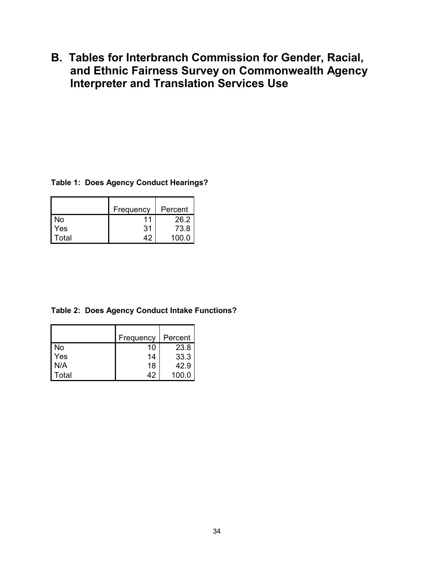**B. Tables for Interbranch Commission for Gender, Racial, and Ethnic Fairness Survey on Commonwealth Agency Interpreter and Translation Services Use**

#### **Table 1: Does Agency Conduct Hearings?**

|       | Frequency | Percent |
|-------|-----------|---------|
| N٥    |           | 26.2    |
| Yes   | 31        | 73.8    |
| Total |           | 100 O   |

**Table 2: Does Agency Conduct Intake Functions?**

|       | Frequency | Percent |
|-------|-----------|---------|
| No    | 10        | 23.8    |
| Yes   | 14        | 33.3    |
| N/A   | 18        | 42.9    |
| Total | 42        | 100.0   |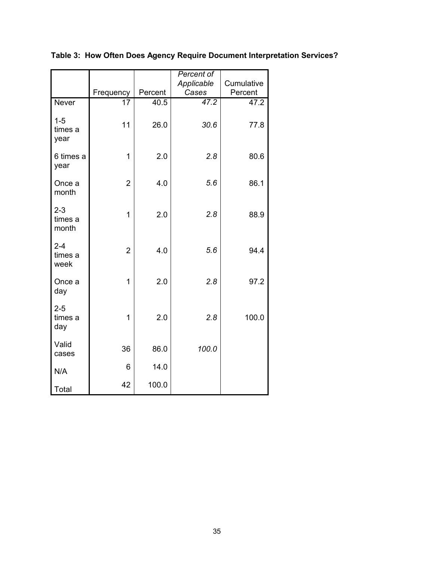|                             |                |         | Percent of<br>Applicable | Cumulative |
|-----------------------------|----------------|---------|--------------------------|------------|
|                             | Frequency      | Percent | Cases                    | Percent    |
| Never                       | 17             | 40.5    | 47.2                     | 47.2       |
| $1 - 5$<br>times a<br>year  | 11             | 26.0    | 30.6                     | 77.8       |
| 6 times a<br>year           | 1              | 2.0     | 2.8                      | 80.6       |
| Once a<br>month             | $\overline{2}$ | 4.0     | 5.6                      | 86.1       |
| $2 - 3$<br>times a<br>month | 1              | 2.0     | 2.8                      | 88.9       |
| $2 - 4$<br>times a<br>week  | $\overline{2}$ | 4.0     | 5.6                      | 94.4       |
| Once a<br>day               | 1              | 2.0     | 2.8                      | 97.2       |
| $2 - 5$<br>times a<br>day   | 1              | 2.0     | 2.8                      | 100.0      |
| Valid<br>cases              | 36             | 86.0    | 100.0                    |            |
| N/A                         | 6              | 14.0    |                          |            |
| Total                       | 42             | 100.0   |                          |            |

**Table 3: How Often Does Agency Require Document Interpretation Services?**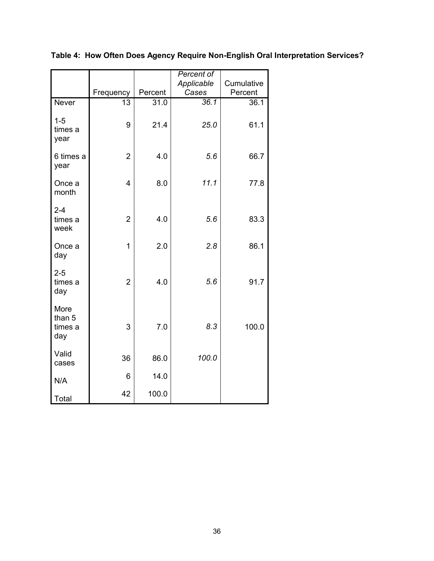|                                  |                |                   | Percent of |            |
|----------------------------------|----------------|-------------------|------------|------------|
|                                  |                |                   | Applicable | Cumulative |
|                                  | Frequency      | Percent           | Cases      | Percent    |
| Never                            | 13             | $\overline{31.0}$ | 36.1       | 36.1       |
| $1 - 5$<br>times a<br>year       | 9              | 21.4              | 25.0       | 61.1       |
| 6 times a<br>year                | $\overline{2}$ | 4.0               | 5.6        | 66.7       |
| Once a<br>month                  | $\overline{4}$ | 8.0               | 11.1       | 77.8       |
| $2 - 4$<br>times a<br>week       | $\overline{2}$ | 4.0               | 5.6        | 83.3       |
| Once a<br>day                    | $\overline{1}$ | 2.0               | 2.8        | 86.1       |
| $2 - 5$<br>times a<br>day        | $\overline{2}$ | 4.0               | 5.6        | 91.7       |
| More<br>than 5<br>times a<br>day | 3              | 7.0               | 8.3        | 100.0      |
| Valid<br>cases                   | 36             | 86.0              | 100.0      |            |
| N/A                              | 6              | 14.0              |            |            |
| Total                            | 42             | 100.0             |            |            |

**Table 4: How Often Does Agency Require Non-English Oral Interpretation Services?**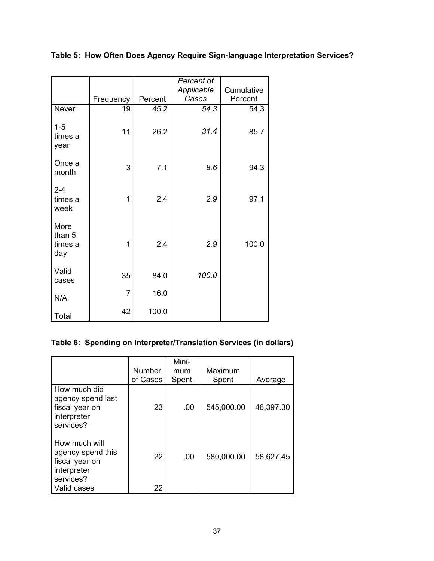|                                  |                |         | Percent of<br>Applicable | Cumulative |
|----------------------------------|----------------|---------|--------------------------|------------|
|                                  | Frequency      | Percent | Cases                    | Percent    |
| Never                            | 19             | 45.2    | 54.3                     | 54.3       |
| $1 - 5$<br>times a<br>year       | 11             | 26.2    | 31.4                     | 85.7       |
| Once a<br>month                  | 3              | 7.1     | 8.6                      | 94.3       |
| $2 - 4$<br>times a<br>week       | 1              | 2.4     | 2.9                      | 97.1       |
| More<br>than 5<br>times a<br>day | 1              | 2.4     | 2.9                      | 100.0      |
| Valid<br>cases                   | 35             | 84.0    | 100.0                    |            |
| N/A                              | $\overline{7}$ | 16.0    |                          |            |
| Total                            | 42             | 100.0   |                          |            |

**Table 5: How Often Does Agency Require Sign-language Interpretation Services?**

### **Table 6: Spending on Interpreter/Translation Services (in dollars)**

|                                                                                                 | <b>Number</b><br>of Cases | Mini-<br>mum<br>Spent | Maximum<br>Spent | Average   |
|-------------------------------------------------------------------------------------------------|---------------------------|-----------------------|------------------|-----------|
| How much did<br>agency spend last<br>fiscal year on<br>interpreter<br>services?                 | 23                        | .00                   | 545,000.00       | 46,397.30 |
| How much will<br>agency spend this<br>fiscal year on<br>interpreter<br>services?<br>Valid cases | 22<br>22                  | .00                   | 580,000.00       | 58,627.45 |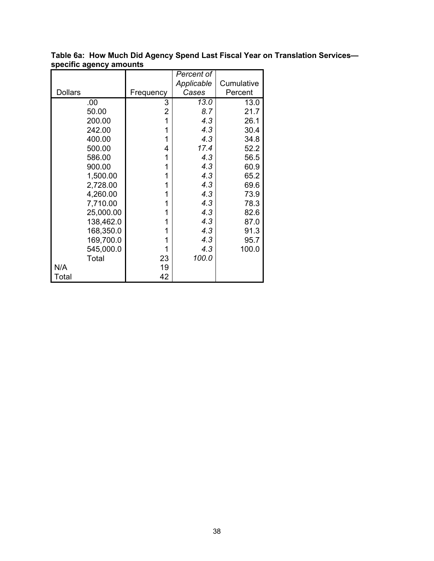|                |           |           | Percent of |            |
|----------------|-----------|-----------|------------|------------|
|                |           |           | Applicable | Cumulative |
| <b>Dollars</b> |           | Frequency | Cases      | Percent    |
|                | .00       | 3         | 13.0       | 13.0       |
|                | 50.00     | 2         | 8.7        | 21.7       |
|                | 200.00    | 1         | 4.3        | 26.1       |
|                | 242.00    | 1         | 4.3        | 30.4       |
|                | 400.00    | 1         | 4.3        | 34.8       |
|                | 500.00    | 4         | 17.4       | 52.2       |
|                | 586.00    | 1         | 4.3        | 56.5       |
|                | 900.00    | 1         | 4.3        | 60.9       |
|                | 1,500.00  | 1         | 4.3        | 65.2       |
|                | 2,728.00  | 1         | 4.3        | 69.6       |
|                | 4,260.00  | 1         | 4.3        | 73.9       |
|                | 7,710.00  | 1         | 4.3        | 78.3       |
|                | 25,000.00 | 1         | 4.3        | 82.6       |
|                | 138,462.0 | 1         | 4.3        | 87.0       |
|                | 168,350.0 | 1         | 4.3        | 91.3       |
|                | 169,700.0 | 1         | 4.3        | 95.7       |
|                | 545,000.0 | 1         | 4.3        | 100.0      |
|                | Total     | 23        | 100.0      |            |
| N/A            |           | 19        |            |            |
| Total          |           | 42        |            |            |

**Table 6a: How Much Did Agency Spend Last Fiscal Year on Translation Services specific agency amounts**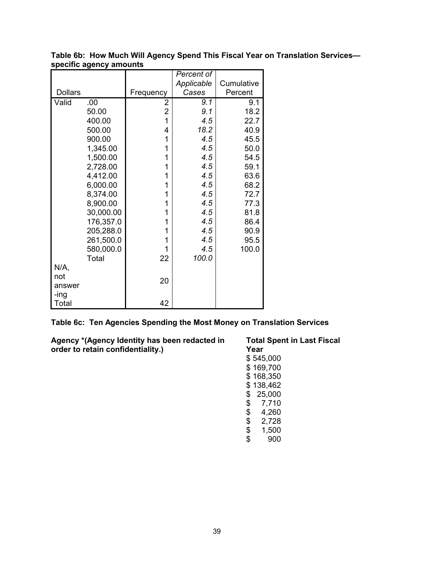|                |           |           | Percent of |            |
|----------------|-----------|-----------|------------|------------|
|                |           |           | Applicable | Cumulative |
| <b>Dollars</b> |           | Frequency | Cases      | Percent    |
| Valid          | .00       | 2         | 9.1        | 9.1        |
|                | 50.00     | 2         | 9.1        | 18.2       |
|                | 400.00    | 1         | 4.5        | 22.7       |
|                | 500.00    | 4         | 18.2       | 40.9       |
|                | 900.00    | 1         | 4.5        | 45.5       |
|                | 1,345.00  | 1         | 4.5        | 50.0       |
|                | 1,500.00  | 1         | 4.5        | 54.5       |
|                | 2,728.00  | 1         | 4.5        | 59.1       |
|                | 4,412.00  | 1         | 4.5        | 63.6       |
|                | 6,000.00  | 1         | 4.5        | 68.2       |
|                | 8,374.00  | 1         | 4.5        | 72.7       |
|                | 8,900.00  | 1         | 4.5        | 77.3       |
|                | 30,000.00 | 1         | 4.5        | 81.8       |
|                | 176,357.0 | 1         | 4.5        | 86.4       |
|                | 205,288.0 | 1         | 4.5        | 90.9       |
|                | 261,500.0 | 1         | 4.5        | 95.5       |
|                | 580,000.0 | 1         | 4.5        | 100.0      |
|                | Total     | 22        | 100.0      |            |
| N/A,           |           |           |            |            |
| not            |           | 20        |            |            |
| answer         |           |           |            |            |
| -ing           |           |           |            |            |
| Total          |           | 42        |            |            |

**Table 6b: How Much Will Agency Spend This Fiscal Year on Translation Services specific agency amounts**

**Table 6c: Ten Agencies Spending the Most Money on Translation Services**

**Agency \*(Agency Identity has been redacted in order to retain confidentiality.)**

**Total Spent in Last Fiscal Year** \$ 545,000 \$ 169,700 \$ 168,350 \$ 138,462 \$ 25,000 \$ 7,710 \$ 4,260  $\begin{array}{r} 7.128 \\ $8 \quad 2,728 \\ $4 \quad 1,500 \end{array}$  $\begin{array}{cc} 1,500 \\ 1,500 \end{array}$ \$ 900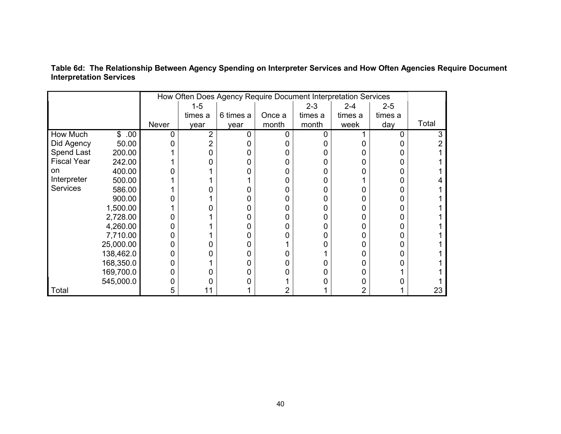|                    |            | How Often Does Agency Require Document Interpretation Services |         |           |        |         |         |         |       |
|--------------------|------------|----------------------------------------------------------------|---------|-----------|--------|---------|---------|---------|-------|
|                    |            |                                                                | $1 - 5$ |           |        | $2 - 3$ | $2 - 4$ | $2 - 5$ |       |
|                    |            |                                                                | times a | 6 times a | Once a | times a | times a | times a |       |
|                    |            | Never                                                          | year    | year      | month  | month   | week    | day     | Total |
| How Much           | .00.<br>\$ | n                                                              | 2       |           |        |         |         |         | 3     |
| Did Agency         | 50.00      |                                                                |         |           |        |         |         |         |       |
| Spend Last         | 200.00     |                                                                |         |           |        |         |         |         |       |
| <b>Fiscal Year</b> | 242.00     |                                                                |         |           |        |         |         |         |       |
| on                 | 400.00     |                                                                |         |           |        | O       |         |         |       |
| Interpreter        | 500.00     |                                                                |         |           |        | 0       |         |         |       |
| <b>Services</b>    | 586.00     |                                                                |         |           |        | 0       |         |         |       |
|                    | 900.00     |                                                                |         |           |        | 0       |         |         |       |
|                    | 1,500.00   |                                                                |         |           |        | 0       |         |         |       |
|                    | 2,728.00   |                                                                |         |           |        | 0       |         |         |       |
|                    | 4,260.00   |                                                                |         |           |        | 0       |         |         |       |
|                    | 7,710.00   |                                                                |         |           |        | 0       |         |         |       |
|                    | 25,000.00  |                                                                |         |           |        |         |         |         |       |
|                    | 138,462.0  |                                                                |         |           |        |         |         |         |       |
|                    | 168,350.0  |                                                                |         |           |        |         |         |         |       |
|                    | 169,700.0  |                                                                |         |           |        |         |         |         |       |
|                    | 545,000.0  |                                                                |         |           |        |         |         |         |       |
| <b>Total</b>       |            | 5                                                              | 11      |           |        |         |         |         | 23    |

**Table 6d: The Relationship Between Agency Spending on Interpreter Services and How Often Agencies Require Document Interpretation Services**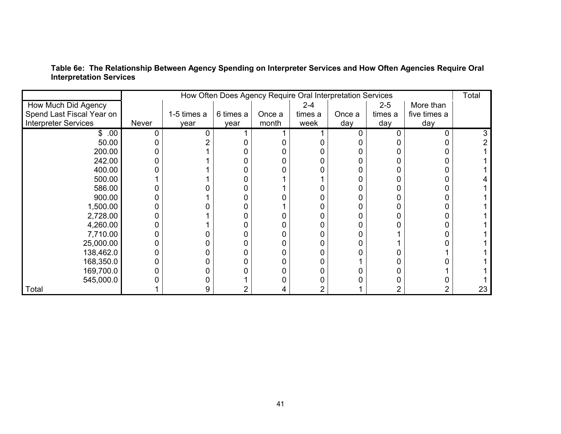|                             |       | How Often Does Agency Require Oral Interpretation Services |           |        |         |        |         |              | Total |
|-----------------------------|-------|------------------------------------------------------------|-----------|--------|---------|--------|---------|--------------|-------|
| How Much Did Agency         |       |                                                            |           |        | $2 - 4$ |        | $2 - 5$ | More than    |       |
| Spend Last Fiscal Year on   |       | 1-5 times a                                                | 6 times a | Once a | times a | Once a | times a | five times a |       |
| <b>Interpreter Services</b> | Never | year                                                       | year      | month  | week    | day    | day     | day          |       |
| \$.00                       |       |                                                            |           |        |         |        |         | U            |       |
| 50.00                       |       |                                                            |           |        |         |        |         |              |       |
| 200.00                      |       |                                                            |           |        |         |        |         |              |       |
| 242.00                      |       |                                                            |           |        |         |        |         |              |       |
| 400.00                      |       |                                                            |           |        |         |        |         |              |       |
| 500.00                      |       |                                                            |           |        |         |        |         |              |       |
| 586.00                      |       |                                                            |           |        |         |        |         |              |       |
| 900.00                      |       |                                                            |           |        |         |        |         |              |       |
| 1,500.00                    |       |                                                            |           |        |         |        |         |              |       |
| 2,728.00                    |       |                                                            |           |        |         |        |         |              |       |
| 4,260.00                    |       |                                                            |           |        |         |        |         |              |       |
| 7,710.00                    |       |                                                            |           |        |         |        |         |              |       |
| 25,000.00                   |       |                                                            |           |        |         |        |         |              |       |
| 138,462.0                   |       |                                                            |           |        |         |        |         |              |       |
| 168,350.0                   |       |                                                            |           |        |         |        |         |              |       |
| 169,700.0                   |       |                                                            |           |        |         |        |         |              |       |
| 545,000.0                   |       |                                                            |           |        |         |        |         |              |       |
| Total                       |       | 9                                                          |           | 4      |         |        |         |              | 23    |

**Table 6e: The Relationship Between Agency Spending on Interpreter Services and How Often Agencies Require Oral Interpretation Services**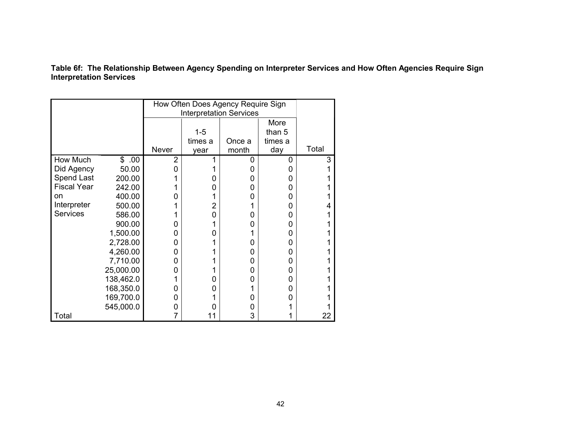**Table 6f: The Relationship Between Agency Spending on Interpreter Services and How Often Agencies Require Sign Interpretation Services** 

|                    |                     |                | How Often Does Agency Require Sign |        |         |       |  |  |
|--------------------|---------------------|----------------|------------------------------------|--------|---------|-------|--|--|
|                    |                     |                | <b>Interpretation Services</b>     |        |         |       |  |  |
|                    |                     |                |                                    |        | More    |       |  |  |
|                    |                     |                | $1 - 5$                            |        | than 5  |       |  |  |
|                    |                     |                | times a                            | Once a | times a |       |  |  |
|                    |                     | <b>Never</b>   | year                               | month  | day     | Total |  |  |
| How Much           | $\mathbb{S}$<br>.00 | $\overline{2}$ | 1                                  | 0      | 0       | 3     |  |  |
| Did Agency         | 50.00               | 0              |                                    | 0      | 0       | 1     |  |  |
| Spend Last         | 200.00              |                | O                                  | 0      | 0       |       |  |  |
| <b>Fiscal Year</b> | 242.00              |                | 0                                  | 0      | 0       |       |  |  |
| on                 | 400.00              | O              |                                    | 0      | 0       |       |  |  |
| Interpreter        | 500.00              |                | $\overline{2}$                     |        | 0       |       |  |  |
| <b>Services</b>    | 586.00              |                | 0                                  | 0      | 0       |       |  |  |
|                    | 900.00              | 0              |                                    | 0      | 0       |       |  |  |
|                    | 1,500.00            | 0              | 0                                  |        | 0       |       |  |  |
|                    | 2,728.00            | 0              |                                    | 0      | 0       |       |  |  |
|                    | 4,260.00            | 0              |                                    | 0      | 0       |       |  |  |
|                    | 7,710.00            | 0              |                                    | 0      | 0       |       |  |  |
|                    | 25,000.00           | 0              |                                    | 0      | 0       |       |  |  |
|                    | 138,462.0           |                | 0                                  | 0      | 0       |       |  |  |
|                    | 168,350.0           | 0              | 0                                  |        | 0       |       |  |  |
|                    | 169,700.0           | 0              |                                    | 0      | 0       |       |  |  |
|                    | 545,000.0           | 0              |                                    | 0      |         |       |  |  |
| Total              |                     | 7              | 11                                 | 3      |         | 22    |  |  |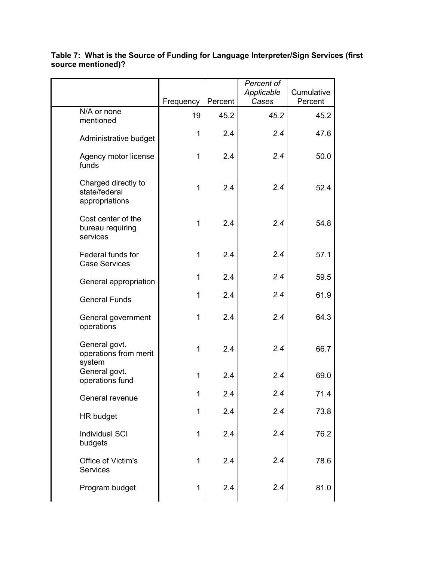#### **Table 7: What is the Source of Funding for Language Interpreter/Sign Services (first source mentioned)?**  $F_{\text{Frequency}}$  Percent *Percent of Applicable Cases* **Cumulative Percent** N/A or none mentioned <sup>19</sup> 45.2 *45.2* 45.2

| N/A or none<br>mentioned                               | 19 | 45.2 | 45.2 | 45.2 |
|--------------------------------------------------------|----|------|------|------|
| Administrative budget                                  | 1  | 2.4  | 2.4  | 47.6 |
| Agency motor license<br>funds                          | 1  | 2.4  | 2.4  | 50.0 |
| Charged directly to<br>state/federal<br>appropriations | 1  | 2.4  | 2.4  | 52.4 |
| Cost center of the<br>bureau requiring<br>services     | 1  | 2.4  | 2.4  | 54.8 |
| Federal funds for<br><b>Case Services</b>              | 1  | 2.4  | 2.4  | 57.1 |
| General appropriation                                  | 1  | 2.4  | 2.4  | 59.5 |
| <b>General Funds</b>                                   | 1  | 2.4  | 2.4  | 61.9 |
| General government<br>operations                       | 1  | 2.4  | 2.4  | 64.3 |
| General govt.<br>operations from merit<br>system       | 1  | 2.4  | 2.4  | 66.7 |
| General govt.<br>operations fund                       | 1  | 2.4  | 2.4  | 69.0 |
| General revenue                                        | 1  | 2.4  | 2.4  | 71.4 |
| HR budget                                              | 1  | 2.4  | 2.4  | 73.8 |
| <b>Individual SCI</b><br>budgets                       | 1  | 2.4  | 2.4  | 76.2 |
| Office of Victim's<br><b>Services</b>                  | 1  | 2.4  | 2.4  | 78.6 |
| Program budget                                         | 1  | 2.4  | 2.4  | 81.0 |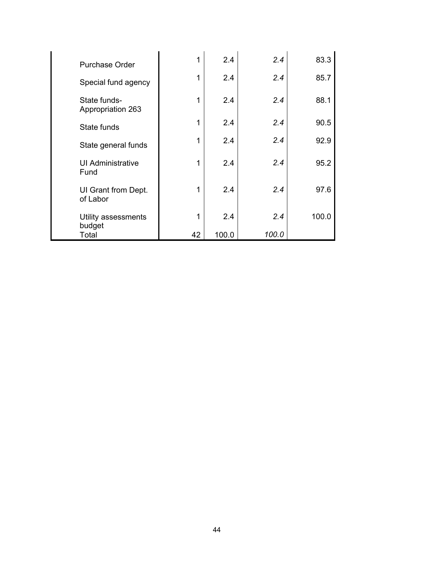| Purchase Order                    | 1  | 2.4   | 2.4   | 83.3  |
|-----------------------------------|----|-------|-------|-------|
| Special fund agency               | 1  | 2.4   | 2.4   | 85.7  |
| State funds-<br>Appropriation 263 | 1  | 2.4   | 2.4   | 88.1  |
| State funds                       | 1  | 2.4   | 2.4   | 90.5  |
| State general funds               | 1  | 2.4   | 2.4   | 92.9  |
| <b>UI Administrative</b><br>Fund  | 1  | 2.4   | 2.4   | 95.2  |
| UI Grant from Dept.<br>of Labor   | 1  | 2.4   | 2.4   | 97.6  |
| Utility assessments<br>budget     | 1  | 2.4   | 2.4   | 100.0 |
| Total                             | 42 | 100.0 | 100.0 |       |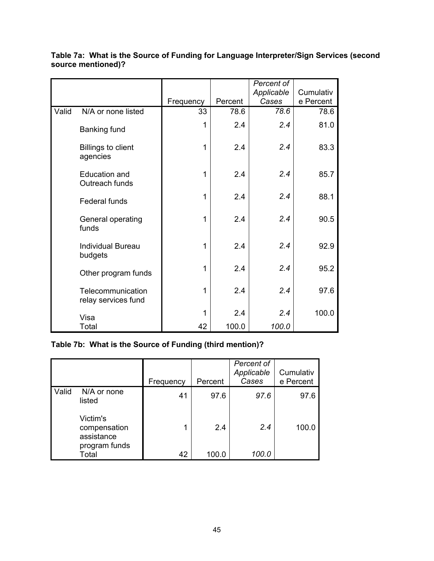|       |                                          |           |         | Percent of |           |
|-------|------------------------------------------|-----------|---------|------------|-----------|
|       |                                          |           |         | Applicable | Cumulativ |
|       |                                          | Frequency | Percent | Cases      | e Percent |
| Valid | N/A or none listed                       | 33        | 78.6    | 78.6       | 78.6      |
|       | <b>Banking fund</b>                      | 1         | 2.4     | 2.4        | 81.0      |
|       | <b>Billings to client</b><br>agencies    | 1         | 2.4     | 2.4        | 83.3      |
|       | <b>Education and</b><br>Outreach funds   | 1         | 2.4     | 2.4        | 85.7      |
|       | <b>Federal funds</b>                     | 1         | 2.4     | 2.4        | 88.1      |
|       | General operating<br>funds               | 1         | 2.4     | 2.4        | 90.5      |
|       | <b>Individual Bureau</b><br>budgets      | 1         | 2.4     | 2.4        | 92.9      |
|       | Other program funds                      | 1         | 2.4     | 2.4        | 95.2      |
|       | Telecommunication<br>relay services fund | 1         | 2.4     | 2.4        | 97.6      |
|       | Visa                                     | 1         | 2.4     | 2.4        | 100.0     |
|       | Total                                    | 42        | 100.0   | 100.0      |           |

**Table 7a: What is the Source of Funding for Language Interpreter/Sign Services (second source mentioned)?**

# **Table 7b: What is the Source of Funding (third mention)?**

|       |                                                         | Frequency | Percent | Percent of<br>Applicable<br>Cases | Cumulativ<br>e Percent |
|-------|---------------------------------------------------------|-----------|---------|-----------------------------------|------------------------|
| Valid | N/A or none<br>listed                                   | 41        | 97.6    | 97.6                              | 97.6                   |
|       | Victim's<br>compensation<br>assistance<br>program funds |           | 2.4     | 2.4                               | 100.0                  |
|       | Total                                                   | 42        | 100.0   | 100.0                             |                        |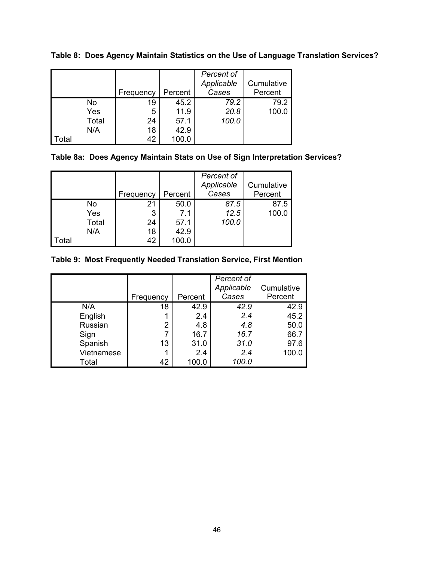|       |       | Frequency | Percent | Percent of<br>Applicable<br>Cases | Cumulative<br>Percent |
|-------|-------|-----------|---------|-----------------------------------|-----------------------|
|       | No    | 19        | 45.2    | 79.2                              | 79.2                  |
|       | Yes   | 5         | 11.9    | 20.8                              | 100.0                 |
|       | Total | 24        | 57.1    | 100.0                             |                       |
|       | N/A   | 18        | 42.9    |                                   |                       |
| Total |       | 42        | 100.0   |                                   |                       |

**Table 8: Does Agency Maintain Statistics on the Use of Language Translation Services?**

# **Table 8a: Does Agency Maintain Stats on Use of Sign Interpretation Services?**

|      |       | Frequency | Percent | Percent of<br>Applicable<br>Cases | Cumulative<br>Percent |
|------|-------|-----------|---------|-----------------------------------|-----------------------|
|      | No    | 21        | 50.0    | 87.5                              | 87.5                  |
|      | Yes   | 3         | 7.1     | 12.5                              | 100.0                 |
|      | Total | 24        | 57.1    | 100.0                             |                       |
|      | N/A   | 18        | 42.9    |                                   |                       |
| otal |       | 42        | 100.0   |                                   |                       |

### **Table 9: Most Frequently Needed Translation Service, First Mention**

|            | Frequency      | Percent | Percent of<br>Applicable<br>Cases | Cumulative<br>Percent |
|------------|----------------|---------|-----------------------------------|-----------------------|
| N/A        | 18             | 42.9    | 42.9                              | 42.9                  |
| English    |                | 2.4     | 2.4                               | 45.2                  |
| Russian    | $\overline{2}$ | 4.8     | 4.8                               | 50.0                  |
| Sign       |                | 16.7    | 16.7                              | 66.7                  |
| Spanish    | 13             | 31.0    | 31.0                              | 97.6                  |
| Vietnamese |                | 2.4     | 2.4                               | 100.0                 |
| Total      | 42             | 100.0   | 100.0                             |                       |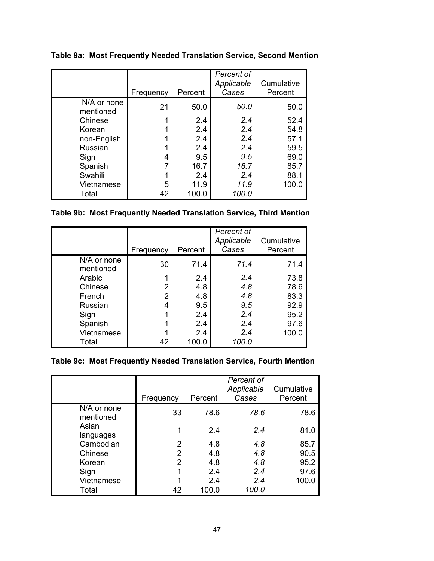**Table 9a: Most Frequently Needed Translation Service, Second Mention**

|                          | Frequency | Percent | Percent of<br>Applicable<br>Cases | Cumulative<br>Percent |
|--------------------------|-----------|---------|-----------------------------------|-----------------------|
| N/A or none<br>mentioned | 21        | 50.0    | 50.0                              | 50.0                  |
| Chinese                  |           | 2.4     | 2.4                               | 52.4                  |
| Korean                   |           | 2.4     | 2.4                               | 54.8                  |
| non-English              |           | 2.4     | 2.4                               | 57.1                  |
| Russian                  |           | 2.4     | 2.4                               | 59.5                  |
| Sign                     | 4         | 9.5     | 9.5                               | 69.0                  |
| Spanish                  |           | 16.7    | 16.7                              | 85.7                  |
| Swahili                  |           | 2.4     | 2.4                               | 88.1                  |
| Vietnamese               | 5         | 11.9    | 11.9                              | 100.0                 |
| Total                    | 42        | 100.0   | 100.0                             |                       |

# **Table 9b: Most Frequently Needed Translation Service, Third Mention**

|                          | Frequency      | Percent | Percent of<br>Applicable<br>Cases | Cumulative<br>Percent |
|--------------------------|----------------|---------|-----------------------------------|-----------------------|
| N/A or none<br>mentioned | 30             | 71.4    | 71.4                              | 71.4                  |
| Arabic                   |                | 2.4     | 2.4                               | 73.8                  |
| Chinese                  | $\overline{2}$ | 4.8     | 4.8                               | 78.6                  |
| French                   | 2              | 4.8     | 4.8                               | 83.3                  |
| Russian                  | 4              | 9.5     | 9.5                               | 92.9                  |
| Sign                     |                | 2.4     | 2.4                               | 95.2                  |
| Spanish                  |                | 2.4     | 2.4                               | 97.6                  |
| Vietnamese               |                | 2.4     | 2.4                               | 100.0                 |
| Total                    | 42             | 100.0   | 100.0                             |                       |

### **Table 9c: Most Frequently Needed Translation Service, Fourth Mention**

|                          | Frequency | Percent | Percent of<br>Applicable<br>Cases | Cumulative<br>Percent |
|--------------------------|-----------|---------|-----------------------------------|-----------------------|
| N/A or none<br>mentioned | 33        | 78.6    | 78.6                              | 78.6                  |
| Asian<br>languages       |           | 2.4     | 2.4                               | 81.0                  |
| Cambodian                | 2         | 4.8     | 4.8                               | 85.7                  |
| Chinese                  | 2         | 4.8     | 4.8                               | 90.5                  |
| Korean                   | 2         | 4.8     | 4.8                               | 95.2                  |
| Sign                     |           | 2.4     | 2.4                               | 97.6                  |
| Vietnamese               |           | 2.4     | 2.4                               | 100.0                 |
| Total                    | 42        | 100.0   | 100.0                             |                       |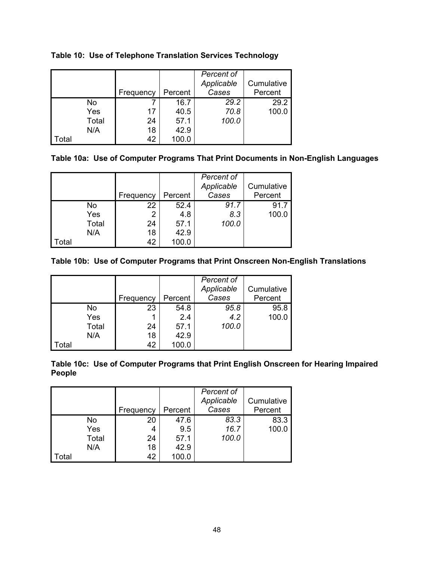|       |       | Frequency | Percent | Percent of<br>Applicable<br>Cases | Cumulative<br>Percent |
|-------|-------|-----------|---------|-----------------------------------|-----------------------|
|       | No    |           | 16.7    | 29.2                              | 29.2                  |
|       | Yes   | 17        | 40.5    | 70.8                              | 100.0                 |
|       | Total | 24        | 57.1    | 100.0                             |                       |
|       | N/A   | 18        | 42.9    |                                   |                       |
| Total |       | 42        | 100.0   |                                   |                       |

**Table 10: Use of Telephone Translation Services Technology**

| Table 10a: Use of Computer Programs That Print Documents in Non-English Languages |
|-----------------------------------------------------------------------------------|
|-----------------------------------------------------------------------------------|

|                   |       |           |         | Percent of<br>Applicable | Cumulative |
|-------------------|-------|-----------|---------|--------------------------|------------|
|                   |       | Frequency | Percent | Cases                    | Percent    |
|                   | No    | 22        | 52.4    | 91.7                     | 91.7       |
|                   | Yes   | 2         | 4.8     | 8.3                      | 100.0      |
|                   | Total | 24        | 57.1    | 100.0                    |            |
|                   | N/A   | 18        | 42.9    |                          |            |
| <sup>'</sup> otal |       | 42        | 100.0   |                          |            |

**Table 10b: Use of Computer Programs that Print Onscreen Non-English Translations** 

|       |       | Frequency | Percent | Percent of<br>Applicable<br>Cases | Cumulative<br>Percent |
|-------|-------|-----------|---------|-----------------------------------|-----------------------|
|       | No    | 23        | 54.8    | 95.8                              | 95.8                  |
|       | Yes   |           | 2.4     | 4.2                               | 100.0                 |
|       | Total | 24        | 57.1    | 100.0                             |                       |
|       | N/A   | 18        | 42.9    |                                   |                       |
| Total |       | 42        | 100.0   |                                   |                       |

**Table 10c: Use of Computer Programs that Print English Onscreen for Hearing Impaired People**

|       |       | Frequency | Percent | Percent of<br>Applicable<br>Cases | Cumulative<br>Percent |
|-------|-------|-----------|---------|-----------------------------------|-----------------------|
|       | No    | 20        | 47.6    | 83.3                              | 83.3                  |
|       | Yes   | 4         | 9.5     | 16.7                              | 100.0                 |
|       | Total | 24        | 57.1    | 100.0                             |                       |
|       | N/A   | 18        | 42.9    |                                   |                       |
| ʻotal |       | 42        | 100.0   |                                   |                       |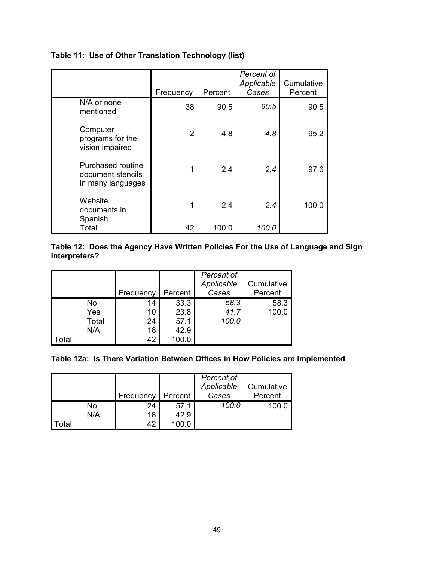### **Table 11: Use of Other Translation Technology (list)**

|                                                             | Frequency      | Percent | Percent of<br>Applicable<br>Cases | Cumulative<br>Percent |
|-------------------------------------------------------------|----------------|---------|-----------------------------------|-----------------------|
| N/A or none<br>mentioned                                    | 38             | 90.5    | 90.5                              | 90.5                  |
| Computer<br>programs for the<br>vision impaired             | $\overline{2}$ | 4.8     | 4.8                               | 95.2                  |
| Purchased routine<br>document stencils<br>in many languages | 1              | 2.4     | 2.4                               | 97.6                  |
| Website<br>documents in<br>Spanish                          | 1              | 2.4     | 2.4                               | 100.0                 |
| Total                                                       | 42             | 100.0   | 100.0                             |                       |

#### **Table 12: Does the Agency Have Written Policies For the Use of Language and Sign Interpreters?**

|                   |           |           |         | Percent of |            |
|-------------------|-----------|-----------|---------|------------|------------|
|                   |           |           |         | Applicable | Cumulative |
|                   |           | Frequency | Percent | Cases      | Percent    |
|                   | <b>No</b> | 14        | 33.3    | 58.3       | 58.3       |
|                   | Yes       | 10        | 23.8    | 41.7       | 100.0      |
|                   | Total     | 24        | 57.1    | 100.0      |            |
|                   | N/A       | 18        | 42.9    |            |            |
| <sup>.</sup> otal |           | 42        | 100.0   |            |            |

#### **Table 12a: Is There Variation Between Offices in How Policies are Implemented**

|      |     |           |         | Percent of |            |
|------|-----|-----------|---------|------------|------------|
|      |     |           |         | Applicable | Cumulative |
|      |     | Frequency | Percent | Cases      | Percent    |
|      | No  | 24        | 57.1    | 100.0      | 100.0      |
|      | N/A | 18        | 42.9    |            |            |
| otal |     | 42        |         |            |            |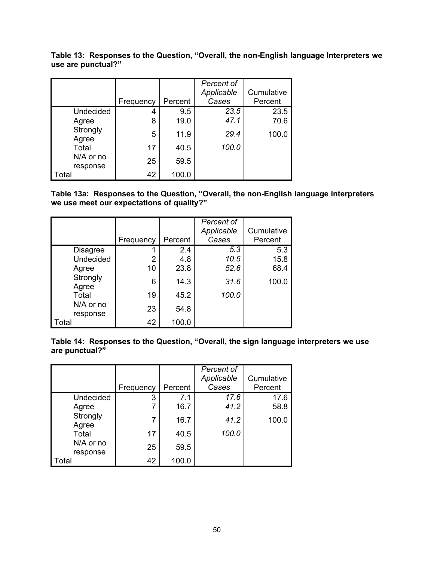|                    | Table 13: Responses to the Question, "Overall, the non-English language Interpreters we |  |  |
|--------------------|-----------------------------------------------------------------------------------------|--|--|
| use are punctual?" |                                                                                         |  |  |

|                       |           |         | Percent of |            |
|-----------------------|-----------|---------|------------|------------|
|                       |           |         | Applicable | Cumulative |
|                       | Frequency | Percent | Cases      | Percent    |
| Undecided             | 4         | 9.5     | 23.5       | 23.5       |
| Agree                 | 8         | 19.0    | 47.1       | 70.6       |
| Strongly<br>Agree     | 5         | 11.9    | 29.4       | 100.0      |
| Total                 | 17        | 40.5    | 100.0      |            |
| N/A or no<br>response | 25        | 59.5    |            |            |
| Total                 | 42        | 100.0   |            |            |

**Table 13a: Responses to the Question, "Overall, the non-English language interpreters we use meet our expectations of quality?"**

|                       |           |         | Percent of<br>Applicable | Cumulative |
|-----------------------|-----------|---------|--------------------------|------------|
|                       | Frequency | Percent | Cases                    | Percent    |
| <b>Disagree</b>       |           | 2.4     | 5.3                      | 5.3        |
| <b>Undecided</b>      | 2         | 4.8     | 10.5                     | 15.8       |
| Agree                 | 10        | 23.8    | 52.6                     | 68.4       |
| Strongly<br>Agree     | 6         | 14.3    | 31.6                     | 100.0      |
| Total                 | 19        | 45.2    | 100.0                    |            |
| N/A or no<br>response | 23        | 54.8    |                          |            |
| Total                 | 42        | 100.0   |                          |            |

**Table 14: Responses to the Question, "Overall, the sign language interpreters we use are punctual?"**

|                       | Frequency | Percent | Percent of<br>Applicable<br>Cases | Cumulative<br>Percent |
|-----------------------|-----------|---------|-----------------------------------|-----------------------|
| Undecided             | 3         | 7.1     | 17.6                              | 17.6                  |
| Agree                 | 7         | 16.7    | 41.2                              | 58.8                  |
| Strongly<br>Agree     | 7         | 16.7    | 41.2                              | 100.0                 |
| Total                 | 17        | 40.5    | 100.0                             |                       |
| N/A or no<br>response | 25        | 59.5    |                                   |                       |
| Total                 | 42        | 100.0   |                                   |                       |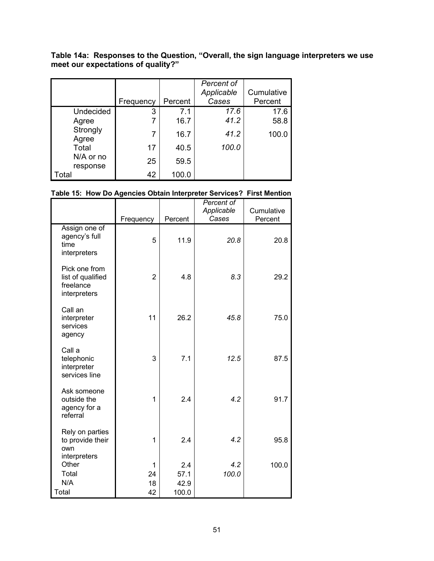**Table 14a: Responses to the Question, "Overall, the sign language interpreters we use meet our expectations of quality?"**

|                       |           |         | Percent of |            |
|-----------------------|-----------|---------|------------|------------|
|                       |           |         | Applicable | Cumulative |
|                       | Frequency | Percent | Cases      | Percent    |
| Undecided             | 3         | 7.1     | 17.6       | 17.6       |
| Agree                 | 7         | 16.7    | 41.2       | 58.8       |
| Strongly<br>Agree     | 7         | 16.7    | 41.2       | 100.0      |
| Total                 | 17        | 40.5    | 100.0      |            |
| N/A or no<br>response | 25        | 59.5    |            |            |
| Total                 | 42        | 100.0   |            |            |

#### **Table 15: How Do Agencies Obtain Interpreter Services? First Mention**

|                                                                 | Frequency      | Percent | Percent of<br>Applicable<br>Cases | Cumulative<br>Percent |
|-----------------------------------------------------------------|----------------|---------|-----------------------------------|-----------------------|
| Assign one of<br>agency's full<br>time<br>interpreters          | 5              | 11.9    | 20.8                              | 20.8                  |
| Pick one from<br>list of qualified<br>freelance<br>interpreters | $\overline{2}$ | 4.8     | 8.3                               | 29.2                  |
| Call an<br>interpreter<br>services<br>agency                    | 11             | 26.2    | 45.8                              | 75.0                  |
| Call a<br>telephonic<br>interpreter<br>services line            | 3              | 7.1     | 12.5                              | 87.5                  |
| Ask someone<br>outside the<br>agency for a<br>referral          | 1              | 2.4     | 4.2                               | 91.7                  |
| Rely on parties<br>to provide their<br>own<br>interpreters      | 1              | 2.4     | 4.2                               | 95.8                  |
| Other                                                           | $\mathbf 1$    | 2.4     | 4.2                               | 100.0                 |
| Total                                                           | 24             | 57.1    | 100.0                             |                       |
| N/A                                                             | 18             | 42.9    |                                   |                       |
| Total                                                           | 42             | 100.0   |                                   |                       |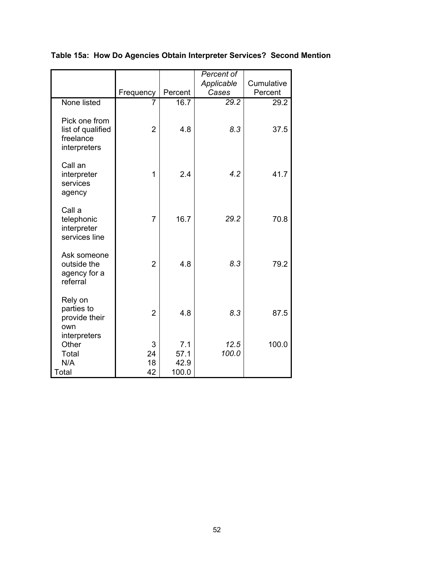|                                                                 |                     |                              | Percent of    |            |
|-----------------------------------------------------------------|---------------------|------------------------------|---------------|------------|
|                                                                 |                     |                              | Applicable    | Cumulative |
|                                                                 | Frequency           | Percent                      | Cases         | Percent    |
| None listed                                                     | 7                   | 16.7                         | 29.2          | 29.2       |
| Pick one from<br>list of qualified<br>freelance<br>interpreters | $\overline{2}$      | 4.8                          | 8.3           | 37.5       |
| Call an<br>interpreter<br>services<br>agency                    | $\mathbf 1$         | 2.4                          | 4.2           | 41.7       |
| Call a<br>telephonic<br>interpreter<br>services line            | $\overline{7}$      | 16.7                         | 29.2          | 70.8       |
| Ask someone<br>outside the<br>agency for a<br>referral          | $\overline{2}$      | 4.8                          | 8.3           | 79.2       |
| Rely on<br>parties to<br>provide their<br>own<br>interpreters   | $\overline{2}$      | 4.8                          | 8.3           | 87.5       |
| Other<br>Total<br>N/A<br>Total                                  | 3<br>24<br>18<br>42 | 7.1<br>57.1<br>42.9<br>100.0 | 12.5<br>100.0 | 100.0      |

**Table 15a: How Do Agencies Obtain Interpreter Services? Second Mention**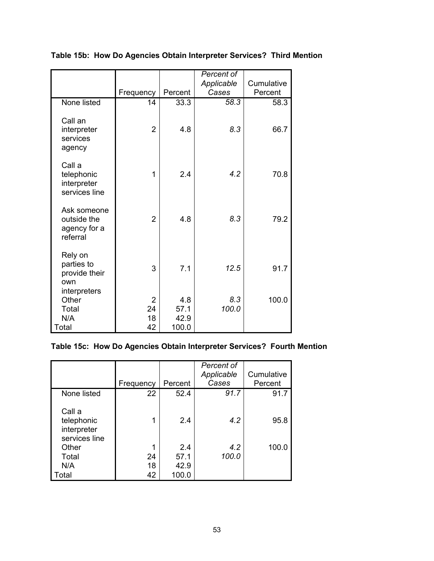|                                                               |                |         | Percent of |            |
|---------------------------------------------------------------|----------------|---------|------------|------------|
|                                                               |                |         | Applicable | Cumulative |
|                                                               | Frequency      | Percent | Cases      | Percent    |
| None listed                                                   | 14             | 33.3    | 58.3       | 58.3       |
| Call an<br>interpreter<br>services<br>agency                  | $\overline{2}$ | 4.8     | 8.3        | 66.7       |
| Call a<br>telephonic<br>interpreter<br>services line          | 1              | 2.4     | 4.2        | 70.8       |
| Ask someone<br>outside the<br>agency for a<br>referral        | $\overline{2}$ | 4.8     | 8.3        | 79.2       |
| Rely on<br>parties to<br>provide their<br>own<br>interpreters | 3              | 7.1     | 12.5       | 91.7       |
| Other                                                         | $\overline{2}$ | 4.8     | 8.3        | 100.0      |
| Total                                                         | 24             | 57.1    | 100.0      |            |
| N/A                                                           | 18             | 42.9    |            |            |
| Total                                                         | 42             | 100.0   |            |            |

**Table 15b: How Do Agencies Obtain Interpreter Services? Third Mention**

# **Table 15c: How Do Agencies Obtain Interpreter Services? Fourth Mention**

|                                                      |           |         | Percent of<br>Applicable | Cumulative |
|------------------------------------------------------|-----------|---------|--------------------------|------------|
|                                                      | Frequency | Percent | Cases                    | Percent    |
| None listed                                          | 22        | 52.4    | 91.7                     | 91.7       |
| Call a<br>telephonic<br>interpreter<br>services line |           | 2.4     | 4.2                      | 95.8       |
| Other                                                |           | 2.4     | 4.2                      | 100.0      |
| Total                                                | 24        | 57.1    | 100.0                    |            |
| N/A                                                  | 18        | 42.9    |                          |            |
| Total                                                | 42        | 100.0   |                          |            |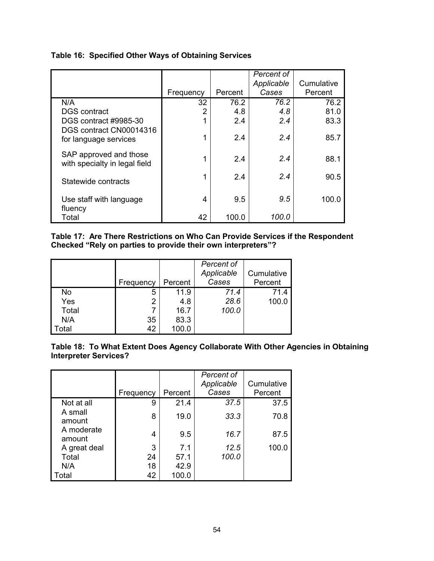| Table 16: Specified Other Ways of Obtaining Services |
|------------------------------------------------------|
|------------------------------------------------------|

|                                                         | Frequency | Percent | Percent of<br>Applicable<br>Cases | Cumulative<br>Percent |
|---------------------------------------------------------|-----------|---------|-----------------------------------|-----------------------|
| N/A                                                     | 32        | 76.2    | 76.2                              | 76.2                  |
| <b>DGS</b> contract                                     | 2         | 4.8     | 4.8                               | 81.0                  |
| DGS contract #9985-30                                   | 1         | 2.4     | 2.4                               | 83.3                  |
| DGS contract CN00014316<br>for language services        | 1         | 2.4     | 2.4                               | 85.7                  |
| SAP approved and those<br>with specialty in legal field | 1         | 2.4     | 2.4                               | 88.1                  |
| Statewide contracts                                     | 1         | 2.4     | 2.4                               | 90.5                  |
| Use staff with language<br>fluency                      | 4         | 9.5     | 9.5                               | 100.0                 |
| Total                                                   | 42        | 100.0   | 100.0                             |                       |

**Table 17: Are There Restrictions on Who Can Provide Services if the Respondent Checked "Rely on parties to provide their own interpreters"?**

|       | Frequency | Percent | Percent of<br>Applicable<br>Cases | Cumulative<br>Percent |
|-------|-----------|---------|-----------------------------------|-----------------------|
| No    | 5         | 11.9    | 71.4                              | 71.4                  |
| Yes   | 2         | 4.8     | 28.6                              | 100.0                 |
| Total |           | 16.7    | 100.0                             |                       |
| N/A   | 35        | 83.3    |                                   |                       |
| otal  | 42        | 100.0   |                                   |                       |

**Table 18: To What Extent Does Agency Collaborate With Other Agencies in Obtaining Interpreter Services?**

|                      |           |         | Percent of<br>Applicable | Cumulative |
|----------------------|-----------|---------|--------------------------|------------|
|                      | Frequency | Percent | Cases                    | Percent    |
| Not at all           | 9         | 21.4    | 37.5                     | 37.5       |
| A small<br>amount    | 8         | 19.0    | 33.3                     | 70.8       |
| A moderate<br>amount | 4         | 9.5     | 16.7                     | 87.5       |
| A great deal         | 3         | 7.1     | 12.5                     | 100.0      |
| Total                | 24        | 57.1    | 100.0                    |            |
| N/A                  | 18        | 42.9    |                          |            |
| Total                | 42        | 100.0   |                          |            |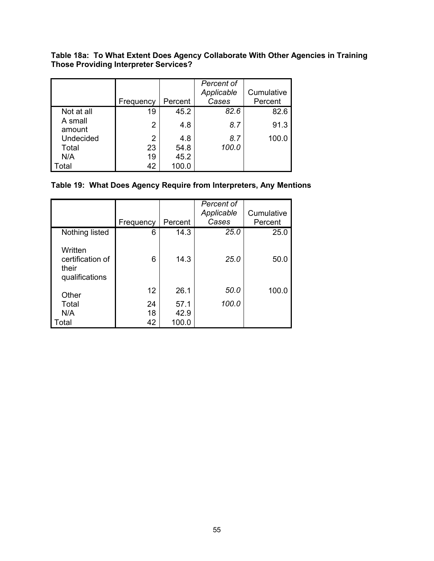**Table 18a: To What Extent Does Agency Collaborate With Other Agencies in Training Those Providing Interpreter Services?**

|                   |                |         | Percent of |            |
|-------------------|----------------|---------|------------|------------|
|                   |                |         | Applicable | Cumulative |
|                   | Frequency      | Percent | Cases      | Percent    |
| Not at all        | 19             | 45.2    | 82.6       | 82.6       |
| A small<br>amount | $\overline{2}$ | 4.8     | 8.7        | 91.3       |
| Undecided         | 2              | 4.8     | 8.7        | 100.0      |
| Total             | 23             | 54.8    | 100.0      |            |
| N/A               | 19             | 45.2    |            |            |
| Total             | 42             | 100.0   |            |            |

### **Table 19: What Does Agency Require from Interpreters, Any Mentions**

|                                                        |           | Percent | Percent of<br>Applicable<br>Cases | Cumulative<br>Percent |
|--------------------------------------------------------|-----------|---------|-----------------------------------|-----------------------|
|                                                        | Frequency |         |                                   |                       |
| Nothing listed                                         | 6         | 14.3    | 25.0                              | 25.0                  |
| Written<br>certification of<br>their<br>qualifications | 6         | 14.3    | <b>25.0</b>                       | 50.0                  |
| Other                                                  | 12        | 26.1    | 50.0                              | 100.0                 |
| Total                                                  | 24        | 57.1    | 100.0                             |                       |
| N/A                                                    | 18        | 42.9    |                                   |                       |
| Total                                                  | 42        | 100.0   |                                   |                       |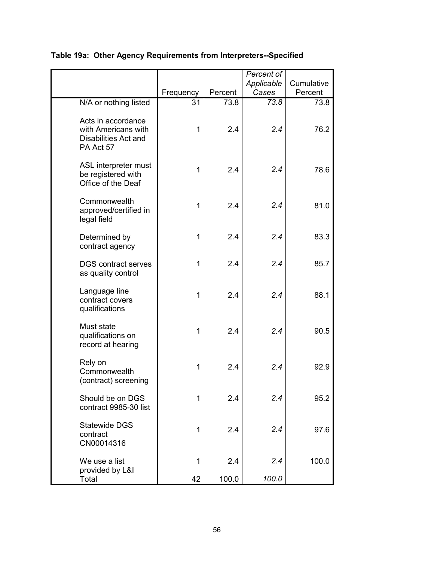|                                                                                |                 |         | Percent of |            |
|--------------------------------------------------------------------------------|-----------------|---------|------------|------------|
|                                                                                |                 |         | Applicable | Cumulative |
|                                                                                | Frequency       | Percent | Cases      | Percent    |
| N/A or nothing listed                                                          | $\overline{31}$ | 73.8    | 73.8       | 73.8       |
| Acts in accordance<br>with Americans with<br>Disabilities Act and<br>PA Act 57 | 1               | 2.4     | 2.4        | 76.2       |
| ASL interpreter must<br>be registered with<br>Office of the Deaf               | $\mathbf{1}$    | 2.4     | 2.4        | 78.6       |
| Commonwealth<br>approved/certified in<br>legal field                           | 1               | 2.4     | 2.4        | 81.0       |
| Determined by<br>contract agency                                               | 1               | 2.4     | 2.4        | 83.3       |
| <b>DGS</b> contract serves<br>as quality control                               | 1               | 2.4     | 2.4        | 85.7       |
| Language line<br>contract covers<br>qualifications                             | 1               | 2.4     | 2.4        | 88.1       |
| Must state<br>qualifications on<br>record at hearing                           | $\mathbf{1}$    | 2.4     | 2.4        | 90.5       |
| Rely on<br>Commonwealth<br>(contract) screening                                | 1               | 2.4     | 2.4        | 92.9       |
| Should be on DGS<br>contract 9985-30 list                                      | 1               | 2.4     | 2.4        | 95.2       |
| <b>Statewide DGS</b><br>contract<br>CN00014316                                 | 1               | 2.4     | 2.4        | 97.6       |
| We use a list<br>provided by L&I                                               | 1               | 2.4     | 2.4        | 100.0      |
| Total                                                                          | 42              | 100.0   | 100.0      |            |

# **Table 19a: Other Agency Requirements from Interpreters--Specified**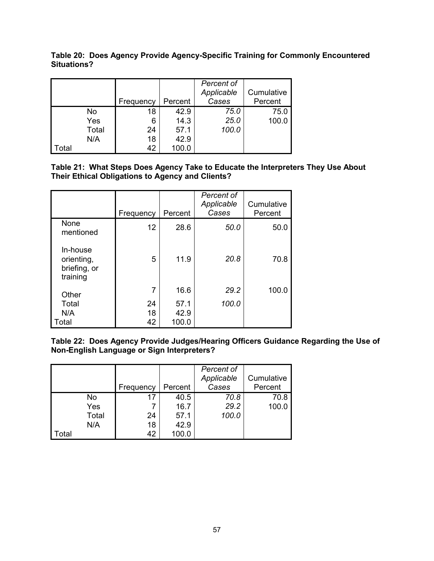|                   |       |           |         | Percent of<br>Applicable | Cumulative |
|-------------------|-------|-----------|---------|--------------------------|------------|
|                   |       | Frequency | Percent | Cases                    | Percent    |
|                   | No    | 18        | 42.9    | 75.0                     | 75.0       |
|                   | Yes   | 6         | 14.3    | 25.0                     | 100.0      |
|                   | Total | 24        | 57.1    | 100.0                    |            |
|                   | N/A   | 18        | 42.9    |                          |            |
| <sup>:</sup> otal |       | 42        | 100.0   |                          |            |

**Table 20: Does Agency Provide Agency-Specific Training for Commonly Encountered Situations?**

**Table 21: What Steps Does Agency Take to Educate the Interpreters They Use About Their Ethical Obligations to Agency and Clients?**

|                                                    | Frequency      | Percent               | Percent of<br>Applicable<br>Cases | Cumulative<br>Percent |
|----------------------------------------------------|----------------|-----------------------|-----------------------------------|-----------------------|
| None<br>mentioned                                  | 12             | 28.6                  | 50.0                              | 50.0                  |
| In-house<br>orienting,<br>briefing, or<br>training | 5              | 11.9                  | 20.8                              | 70.8                  |
| Other                                              | 7              | 16.6                  | 29.2                              | 100.0                 |
| Total<br>N/A<br>Total                              | 24<br>18<br>42 | 57.1<br>42.9<br>100.0 | 100.0                             |                       |

**Table 22: Does Agency Provide Judges/Hearing Officers Guidance Regarding the Use of Non-English Language or Sign Interpreters?**

|       |       | Frequency | Percent | Percent of<br>Applicable<br>Cases | Cumulative<br>Percent |
|-------|-------|-----------|---------|-----------------------------------|-----------------------|
|       | No    | 17        | 40.5    | 70.8                              | 70.8                  |
|       | Yes   |           | 16.7    | 29.2                              | 100.0                 |
|       | Total | 24        | 57.1    | 100.0                             |                       |
|       | N/A   | 18        | 42.9    |                                   |                       |
| Total |       | 42        | 100.0   |                                   |                       |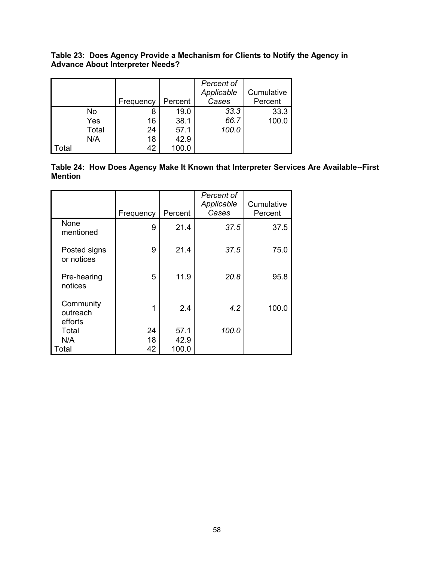|      |           | Frequency | Percent | Percent of<br>Applicable<br>Cases | Cumulative<br>Percent |
|------|-----------|-----------|---------|-----------------------------------|-----------------------|
|      | <b>No</b> | 8         | 19.0    | 33.3                              | 33.3                  |
|      | Yes       | 16        | 38.1    | 66.7                              | 100.0                 |
|      | Total     | 24        | 57.1    | 100.0                             |                       |
|      | N/A       | 18        | 42.9    |                                   |                       |
| otal |           | 42        | 100.0   |                                   |                       |

**Table 23: Does Agency Provide a Mechanism for Clients to Notify the Agency in Advance About Interpreter Needs?**

|                | Table 24: How Does Agency Make It Known that Interpreter Services Are Available--First |  |  |
|----------------|----------------------------------------------------------------------------------------|--|--|
| <b>Mention</b> |                                                                                        |  |  |

|                                  | Frequency | Percent | Percent of<br>Applicable<br>Cases | Cumulative<br>Percent |
|----------------------------------|-----------|---------|-----------------------------------|-----------------------|
| None<br>mentioned                | 9         | 21.4    | 37.5                              | 37.5                  |
| Posted signs<br>or notices       | 9         | 21.4    | 37.5                              | 75.0                  |
| Pre-hearing<br>notices           | 5         | 11.9    | 20.8                              | 95.8                  |
| Community<br>outreach<br>efforts | 1         | 2.4     | 4.2                               | 100.0                 |
| Total                            | 24        | 57.1    | 100.0                             |                       |
| N/A                              | 18        | 42.9    |                                   |                       |
| Total                            | 42        | 100.0   |                                   |                       |